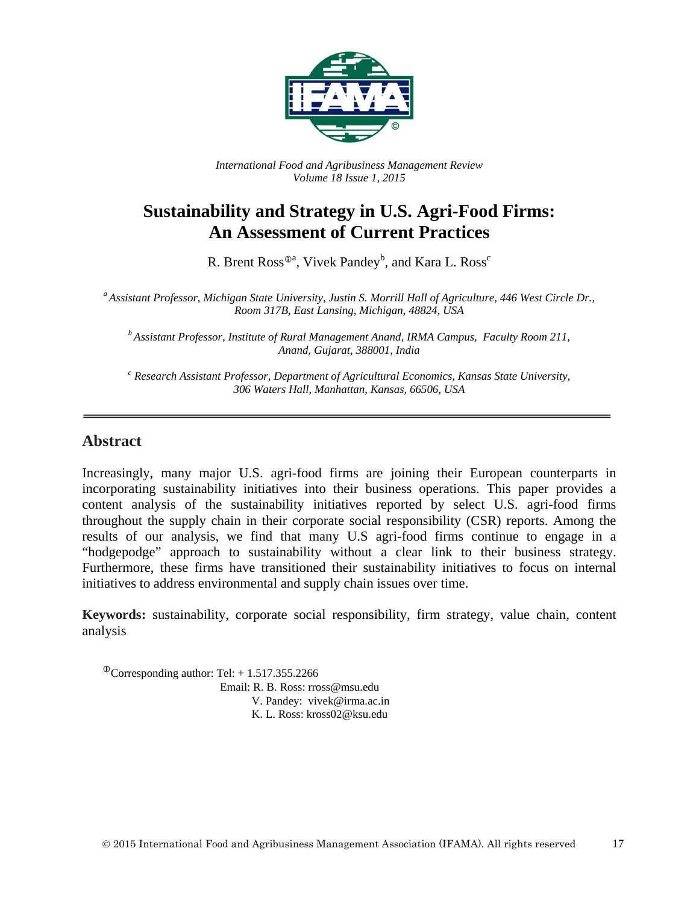

*International Food and Agribusiness Management Review Volume 18 Issue 1, 2015*

# **Sustainability and Strategy in U.S. Agri-Food Firms: An Assessment of Current Practices**

R. Brent Ross $^{\textcircled{\tiny 2a}}$ , Vivek Pandey $^{\text{b}}$ , and Kara L. Ross $^{\textcircled{\tiny c}}$ 

*<sup>a</sup> Assistant Professor, Michigan State University, Justin S. Morrill Hall of Agriculture, 446 West Circle Dr., Room 317B, East Lansing, Michigan, 48824, USA*

*<sup>b</sup> Assistant Professor, Institute of Rural Management Anand, IRMA Campus, Faculty Room 211, Anand, Gujarat, 388001, India*

*<sup>c</sup> Research Assistant Professor, Department of Agricultural Economics, Kansas State University, 306 Waters Hall, Manhattan, Kansas, 66506, USA*

### **Abstract**

Increasingly, many major U.S. agri-food firms are joining their European counterparts in incorporating sustainability initiatives into their business operations. This paper provides a content analysis of the sustainability initiatives reported by select U.S. agri-food firms throughout the supply chain in their corporate social responsibility (CSR) reports. Among the results of our analysis, we find that many U.S agri-food firms continue to engage in a "hodgepodge" approach to sustainability without a clear link to their business strategy. Furthermore, these firms have transitioned their sustainability initiatives to focus on internal initiatives to address environmental and supply chain issues over time.

**Keywords:** sustainability, corporate social responsibility, firm strategy, value chain, content analysis

 $\textcirc{Corresponding author: Tel:} + 1.517.355.2266$ Email: R. B. Ross: rross@msu.edu V. Pandey: [vivek@irma.ac.in](mailto:vivek@irma.ac.in) K. L. Ross: [kross02@ksu.edu](mailto:kross02@ksu.edu)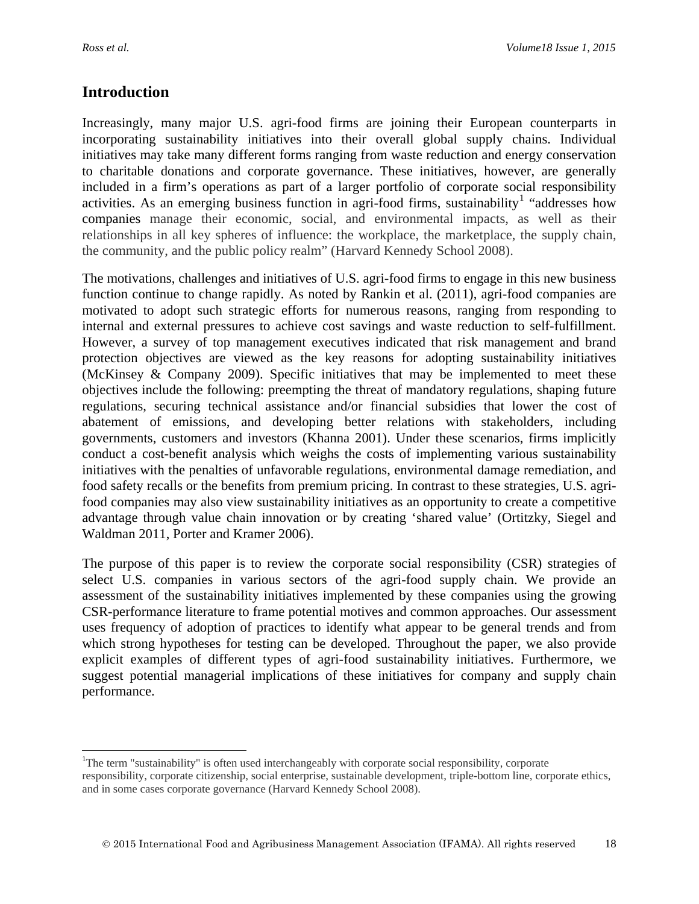$\overline{a}$ 

### **Introduction**

Increasingly, many major U.S. agri-food firms are joining their European counterparts in incorporating sustainability initiatives into their overall global supply chains. Individual initiatives may take many different forms ranging from waste reduction and energy conservation to charitable donations and corporate governance. These initiatives, however, are generally included in a firm's operations as part of a larger portfolio of corporate social responsibility activities. As an emerging business function in agri-food firms, sustainability<sup>[1](#page-1-0)</sup> "addresses how companies manage their economic, social, and environmental impacts, as well as their relationships in all key spheres of influence: the workplace, the marketplace, the supply chain, the community, and the public policy realm" (Harvard Kennedy School 2008).

The motivations, challenges and initiatives of U.S. agri-food firms to engage in this new business function continue to change rapidly. As noted by Rankin et al. (2011), agri-food companies are motivated to adopt such strategic efforts for numerous reasons, ranging from responding to internal and external pressures to achieve cost savings and waste reduction to self-fulfillment. However, a survey of top management executives indicated that risk management and brand protection objectives are viewed as the key reasons for adopting sustainability initiatives (McKinsey & Company 2009). Specific initiatives that may be implemented to meet these objectives include the following: preempting the threat of mandatory regulations, shaping future regulations, securing technical assistance and/or financial subsidies that lower the cost of abatement of emissions, and developing better relations with stakeholders, including governments, customers and investors (Khanna 2001). Under these scenarios, firms implicitly conduct a cost-benefit analysis which weighs the costs of implementing various sustainability initiatives with the penalties of unfavorable regulations, environmental damage remediation, and food safety recalls or the benefits from premium pricing. In contrast to these strategies, U.S. agrifood companies may also view sustainability initiatives as an opportunity to create a competitive advantage through value chain innovation or by creating 'shared value' (Ortitzky, Siegel and Waldman 2011, Porter and Kramer 2006).

The purpose of this paper is to review the corporate social responsibility (CSR) strategies of select U.S. companies in various sectors of the agri-food supply chain. We provide an assessment of the sustainability initiatives implemented by these companies using the growing CSR-performance literature to frame potential motives and common approaches. Our assessment uses frequency of adoption of practices to identify what appear to be general trends and from which strong hypotheses for testing can be developed. Throughout the paper, we also provide explicit examples of different types of agri-food sustainability initiatives. Furthermore, we suggest potential managerial implications of these initiatives for company and supply chain performance.

<span id="page-1-0"></span><sup>&</sup>lt;sup>1</sup>The term "sustainability" is often used interchangeably with corporate social responsibility, corporate responsibility, corporate citizenship, social enterprise, sustainable development, triple-bottom line, corporate ethics, and in some cases corporate governance (Harvard Kennedy School 2008).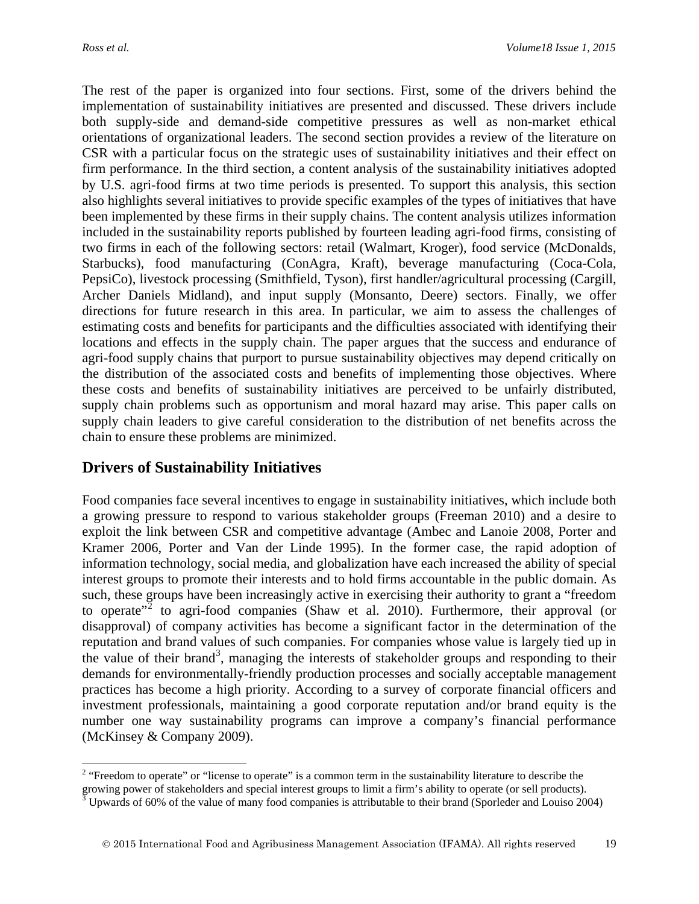The rest of the paper is organized into four sections. First, some of the drivers behind the implementation of sustainability initiatives are presented and discussed. These drivers include both supply-side and demand-side competitive pressures as well as non-market ethical orientations of organizational leaders. The second section provides a review of the literature on CSR with a particular focus on the strategic uses of sustainability initiatives and their effect on firm performance. In the third section, a content analysis of the sustainability initiatives adopted by U.S. agri-food firms at two time periods is presented. To support this analysis, this section also highlights several initiatives to provide specific examples of the types of initiatives that have been implemented by these firms in their supply chains. The content analysis utilizes information included in the sustainability reports published by fourteen leading agri-food firms, consisting of two firms in each of the following sectors: retail (Walmart, Kroger), food service (McDonalds, Starbucks), food manufacturing (ConAgra, Kraft), beverage manufacturing (Coca-Cola, PepsiCo), livestock processing (Smithfield, Tyson), first handler/agricultural processing (Cargill, Archer Daniels Midland), and input supply (Monsanto, Deere) sectors. Finally, we offer directions for future research in this area. In particular, we aim to assess the challenges of estimating costs and benefits for participants and the difficulties associated with identifying their locations and effects in the supply chain. The paper argues that the success and endurance of agri-food supply chains that purport to pursue sustainability objectives may depend critically on the distribution of the associated costs and benefits of implementing those objectives. Where these costs and benefits of sustainability initiatives are perceived to be unfairly distributed, supply chain problems such as opportunism and moral hazard may arise. This paper calls on supply chain leaders to give careful consideration to the distribution of net benefits across the chain to ensure these problems are minimized.

## **Drivers of Sustainability Initiatives**

Food companies face several incentives to engage in sustainability initiatives, which include both a growing pressure to respond to various stakeholder groups (Freeman 2010) and a desire to exploit the link between CSR and competitive advantage (Ambec and Lanoie 2008, Porter and Kramer 2006, Porter and Van der Linde 1995). In the former case, the rapid adoption of information technology, social media, and globalization have each increased the ability of special interest groups to promote their interests and to hold firms accountable in the public domain. As such, these groups have been increasingly active in exercising their authority to grant a "freedom to operate<sup> $2$ </sup> to agri-food companies (Shaw et al. 2010). Furthermore, their approval (or disapproval) of company activities has become a significant factor in the determination of the reputation and brand values of such companies. For companies whose value is largely tied up in the value of their brand<sup>[3](#page-2-1)</sup>, managing the interests of stakeholder groups and responding to their demands for environmentally-friendly production processes and socially acceptable management practices has become a high priority. According to a survey of corporate financial officers and investment professionals, maintaining a good corporate reputation and/or brand equity is the number one way sustainability programs can improve a company's financial performance (McKinsey & Company 2009).

<span id="page-2-0"></span><sup>&</sup>lt;sup>2</sup> "Freedom to operate" or "license to operate" is a common term in the sustainability literature to describe the  $\overline{a}$ 

<span id="page-2-1"></span>growing power of stakeholders and special interest groups to limit a firm's ability to operate (or sell products).  $3$  Upwards of 60% of the value of many food companies is attributable to their brand (Sporleder and Louiso 2004)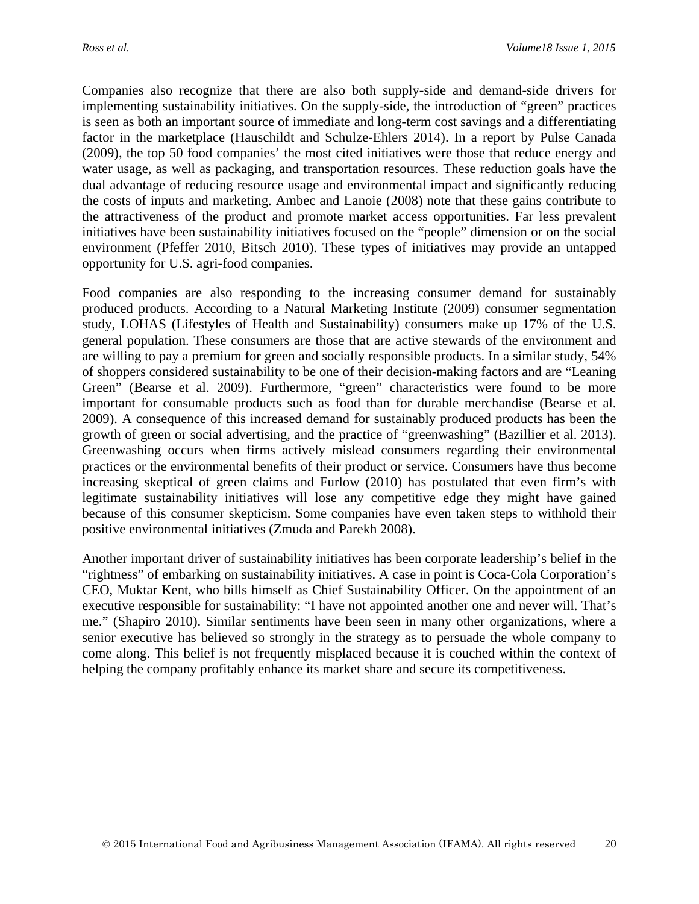Companies also recognize that there are also both supply-side and demand-side drivers for implementing sustainability initiatives. On the supply-side, the introduction of "green" practices is seen as both an important source of immediate and long-term cost savings and a differentiating factor in the marketplace (Hauschildt and Schulze-Ehlers 2014). In a report by Pulse Canada (2009), the top 50 food companies' the most cited initiatives were those that reduce energy and water usage, as well as packaging, and transportation resources. These reduction goals have the dual advantage of reducing resource usage and environmental impact and significantly reducing the costs of inputs and marketing. Ambec and Lanoie (2008) note that these gains contribute to the attractiveness of the product and promote market access opportunities. Far less prevalent initiatives have been sustainability initiatives focused on the "people" dimension or on the social environment (Pfeffer 2010, Bitsch 2010). These types of initiatives may provide an untapped opportunity for U.S. agri-food companies.

Food companies are also responding to the increasing consumer demand for sustainably produced products. According to a Natural Marketing Institute (2009) consumer segmentation study, LOHAS (Lifestyles of Health and Sustainability) consumers make up 17% of the U.S. general population. These consumers are those that are active stewards of the environment and are willing to pay a premium for green and socially responsible products. In a similar study, 54% of shoppers considered sustainability to be one of their decision-making factors and are "Leaning Green" (Bearse et al. 2009). Furthermore, "green" characteristics were found to be more important for consumable products such as food than for durable merchandise (Bearse et al. 2009). A consequence of this increased demand for sustainably produced products has been the growth of green or social advertising, and the practice of "greenwashing" (Bazillier et al. 2013). Greenwashing occurs when firms actively mislead consumers regarding their environmental practices or the environmental benefits of their product or service. Consumers have thus become increasing skeptical of green claims and Furlow (2010) has postulated that even firm's with legitimate sustainability initiatives will lose any competitive edge they might have gained because of this consumer skepticism. Some companies have even taken steps to withhold their positive environmental initiatives (Zmuda and Parekh 2008).

Another important driver of sustainability initiatives has been corporate leadership's belief in the "rightness" of embarking on sustainability initiatives. A case in point is Coca-Cola Corporation's CEO, Muktar Kent, who bills himself as Chief Sustainability Officer. On the appointment of an executive responsible for sustainability: "I have not appointed another one and never will. That's me." (Shapiro 2010). Similar sentiments have been seen in many other organizations, where a senior executive has believed so strongly in the strategy as to persuade the whole company to come along. This belief is not frequently misplaced because it is couched within the context of helping the company profitably enhance its market share and secure its competitiveness.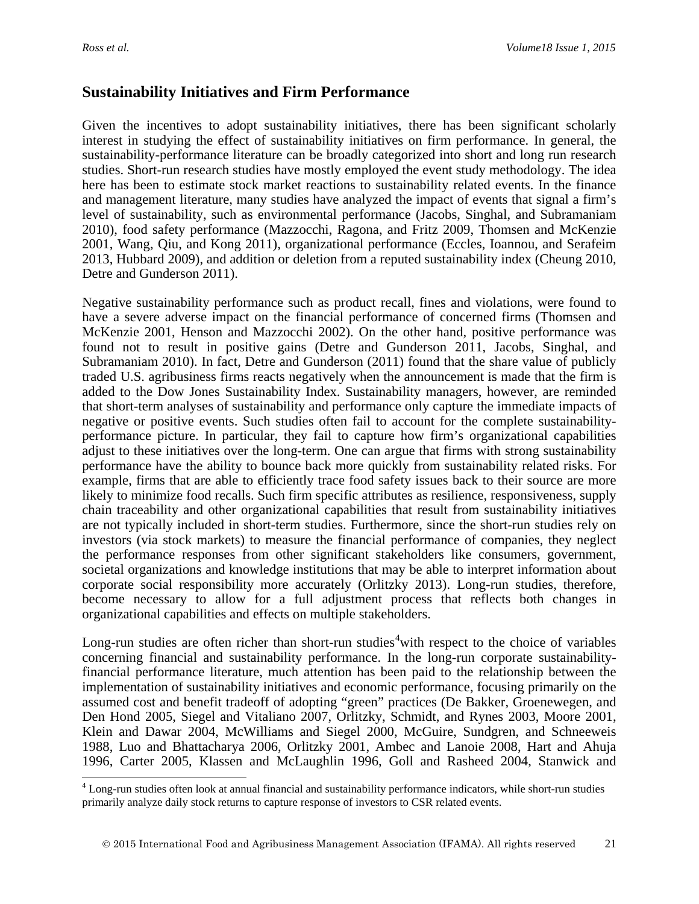### **Sustainability Initiatives and Firm Performance**

Given the incentives to adopt sustainability initiatives, there has been significant scholarly interest in studying the effect of sustainability initiatives on firm performance. In general, the sustainability-performance literature can be broadly categorized into short and long run research studies. Short-run research studies have mostly employed the event study methodology. The idea here has been to estimate stock market reactions to sustainability related events. In the finance and management literature, many studies have analyzed the impact of events that signal a firm's level of sustainability, such as environmental performance (Jacobs, Singhal, and Subramaniam 2010), food safety performance (Mazzocchi, Ragona, and Fritz 2009, Thomsen and McKenzie 2001, Wang, Qiu, and Kong 2011), organizational performance (Eccles, Ioannou, and Serafeim 2013, Hubbard 2009), and addition or deletion from a reputed sustainability index (Cheung 2010, Detre and Gunderson 2011).

Negative sustainability performance such as product recall, fines and violations, were found to have a severe adverse impact on the financial performance of concerned firms (Thomsen and McKenzie 2001, Henson and Mazzocchi 2002). On the other hand, positive performance was found not to result in positive gains (Detre and Gunderson 2011, Jacobs, Singhal, and Subramaniam 2010). In fact, Detre and Gunderson (2011) found that the share value of publicly traded U.S. agribusiness firms reacts negatively when the announcement is made that the firm is added to the Dow Jones Sustainability Index. Sustainability managers, however, are reminded that short-term analyses of sustainability and performance only capture the immediate impacts of negative or positive events. Such studies often fail to account for the complete sustainabilityperformance picture. In particular, they fail to capture how firm's organizational capabilities adjust to these initiatives over the long-term. One can argue that firms with strong sustainability performance have the ability to bounce back more quickly from sustainability related risks. For example, firms that are able to efficiently trace food safety issues back to their source are more likely to minimize food recalls. Such firm specific attributes as resilience, responsiveness, supply chain traceability and other organizational capabilities that result from sustainability initiatives are not typically included in short-term studies. Furthermore, since the short-run studies rely on investors (via stock markets) to measure the financial performance of companies, they neglect the performance responses from other significant stakeholders like consumers, government, societal organizations and knowledge institutions that may be able to interpret information about corporate social responsibility more accurately (Orlitzky 2013). Long-run studies, therefore, become necessary to allow for a full adjustment process that reflects both changes in organizational capabilities and effects on multiple stakeholders.

Long-run studies are often richer than short-run studies<sup>[4](#page-4-0)</sup> with respect to the choice of variables concerning financial and sustainability performance. In the long-run corporate sustainabilityfinancial performance literature, much attention has been paid to the relationship between the implementation of sustainability initiatives and economic performance, focusing primarily on the assumed cost and benefit tradeoff of adopting "green" practices (De Bakker, Groenewegen, and Den Hond 2005, Siegel and Vitaliano 2007, Orlitzky, Schmidt, and Rynes 2003, Moore 2001, Klein and Dawar 2004, McWilliams and Siegel 2000, McGuire, Sundgren, and Schneeweis 1988, Luo and Bhattacharya 2006, Orlitzky 2001, Ambec and Lanoie 2008, Hart and Ahuja 1996, Carter 2005, Klassen and McLaughlin 1996, Goll and Rasheed 2004, Stanwick and

<span id="page-4-0"></span><sup>&</sup>lt;sup>4</sup> Long-run studies often look at annual financial and sustainability performance indicators, while short-run studies primarily analyze daily stock returns to capture response of investors to CSR related events.  $\overline{a}$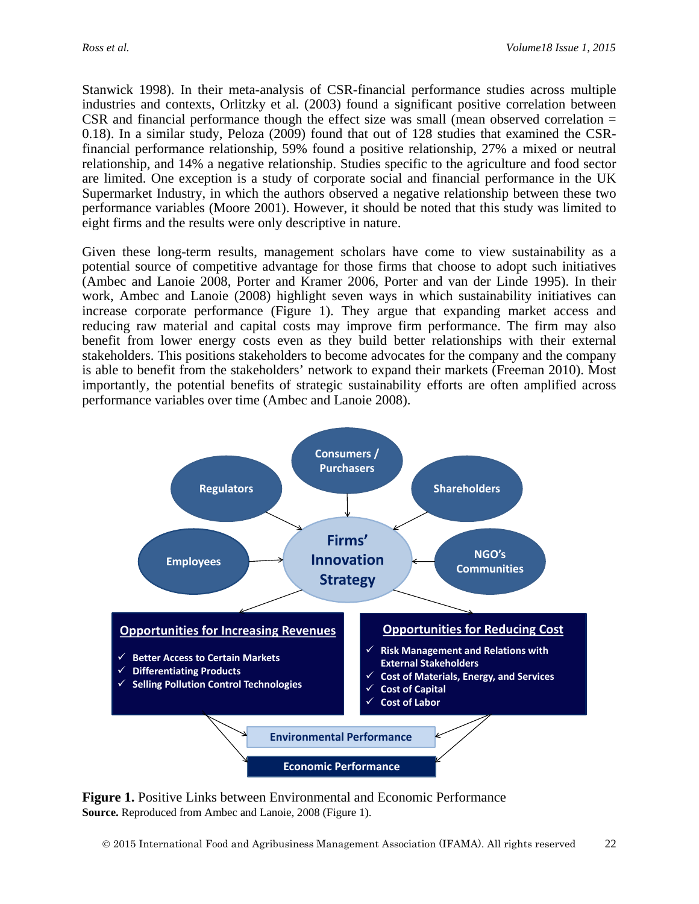Stanwick 1998). In their meta-analysis of CSR-financial performance studies across multiple industries and contexts, Orlitzky et al. (2003) found a significant positive correlation between CSR and financial performance though the effect size was small (mean observed correlation = 0.18). In a similar study, Peloza (2009) found that out of 128 studies that examined the CSRfinancial performance relationship, 59% found a positive relationship, 27% a mixed or neutral relationship, and 14% a negative relationship. Studies specific to the agriculture and food sector are limited. One exception is a study of corporate social and financial performance in the UK Supermarket Industry, in which the authors observed a negative relationship between these two performance variables (Moore 2001). However, it should be noted that this study was limited to eight firms and the results were only descriptive in nature.

Given these long-term results, management scholars have come to view sustainability as a potential source of competitive advantage for those firms that choose to adopt such initiatives (Ambec and Lanoie 2008, Porter and Kramer 2006, Porter and van der Linde 1995). In their work, Ambec and Lanoie (2008) highlight seven ways in which sustainability initiatives can increase corporate performance (Figure 1). They argue that expanding market access and reducing raw material and capital costs may improve firm performance. The firm may also benefit from lower energy costs even as they build better relationships with their external stakeholders. This positions stakeholders to become advocates for the company and the company is able to benefit from the stakeholders' network to expand their markets (Freeman 2010). Most importantly, the potential benefits of strategic sustainability efforts are often amplified across performance variables over time (Ambec and Lanoie 2008).



**Figure 1.** Positive Links between Environmental and Economic Performance **Source.** Reproduced from Ambec and Lanoie, 2008 (Figure 1).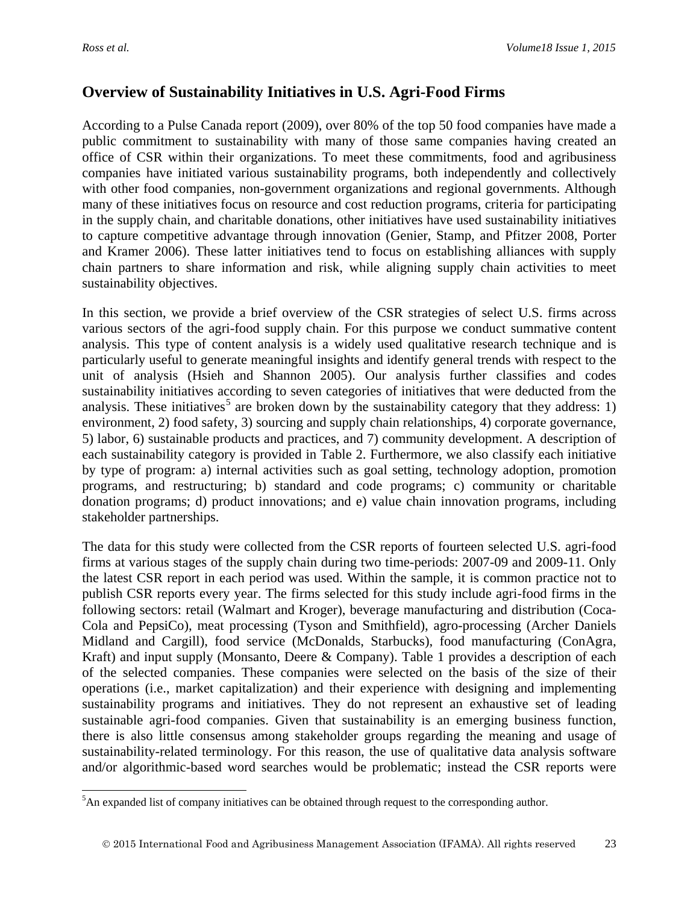## **Overview of Sustainability Initiatives in U.S. Agri-Food Firms**

According to a Pulse Canada report (2009), over 80% of the top 50 food companies have made a public commitment to sustainability with many of those same companies having created an office of CSR within their organizations. To meet these commitments, food and agribusiness companies have initiated various sustainability programs, both independently and collectively with other food companies, non-government organizations and regional governments. Although many of these initiatives focus on resource and cost reduction programs, criteria for participating in the supply chain, and charitable donations, other initiatives have used sustainability initiatives to capture competitive advantage through innovation (Genier, Stamp, and Pfitzer 2008, Porter and Kramer 2006). These latter initiatives tend to focus on establishing alliances with supply chain partners to share information and risk, while aligning supply chain activities to meet sustainability objectives.

In this section, we provide a brief overview of the CSR strategies of select U.S. firms across various sectors of the agri-food supply chain. For this purpose we conduct summative content analysis. This type of content analysis is a widely used qualitative research technique and is particularly useful to generate meaningful insights and identify general trends with respect to the unit of analysis (Hsieh and Shannon 2005). Our analysis further classifies and codes sustainability initiatives according to seven categories of initiatives that were deducted from the analysis. These initiatives<sup>[5](#page-6-0)</sup> are broken down by the sustainability category that they address: 1) environment, 2) food safety, 3) sourcing and supply chain relationships, 4) corporate governance, 5) labor, 6) sustainable products and practices, and 7) community development. A description of each sustainability category is provided in Table 2. Furthermore, we also classify each initiative by type of program: a) internal activities such as goal setting, technology adoption, promotion programs, and restructuring; b) standard and code programs; c) community or charitable donation programs; d) product innovations; and e) value chain innovation programs, including stakeholder partnerships.

The data for this study were collected from the CSR reports of fourteen selected U.S. agri-food firms at various stages of the supply chain during two time-periods: 2007-09 and 2009-11. Only the latest CSR report in each period was used. Within the sample, it is common practice not to publish CSR reports every year. The firms selected for this study include agri-food firms in the following sectors: retail (Walmart and Kroger), beverage manufacturing and distribution (Coca-Cola and PepsiCo), meat processing (Tyson and Smithfield), agro-processing (Archer Daniels Midland and Cargill), food service (McDonalds, Starbucks), food manufacturing (ConAgra, Kraft) and input supply (Monsanto, Deere & Company). Table 1 provides a description of each of the selected companies. These companies were selected on the basis of the size of their operations (i.e., market capitalization) and their experience with designing and implementing sustainability programs and initiatives. They do not represent an exhaustive set of leading sustainable agri-food companies. Given that sustainability is an emerging business function, there is also little consensus among stakeholder groups regarding the meaning and usage of sustainability-related terminology. For this reason, the use of qualitative data analysis software and/or algorithmic-based word searches would be problematic; instead the CSR reports were

<span id="page-6-0"></span><sup>&</sup>lt;sup>5</sup>An expanded list of company initiatives can be obtained through request to the corresponding author.  $\overline{a}$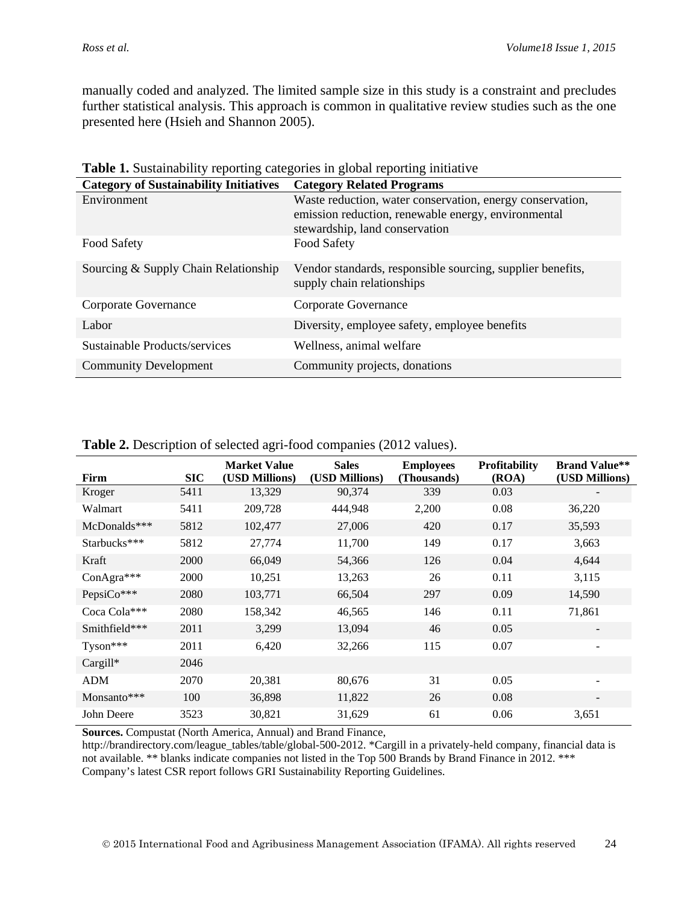manually coded and analyzed. The limited sample size in this study is a constraint and precludes further statistical analysis. This approach is common in qualitative review studies such as the one presented here (Hsieh and Shannon 2005).

| <b>Category of Sustainability Initiatives</b> | <b>Category Related Programs</b>                                                                                                                   |
|-----------------------------------------------|----------------------------------------------------------------------------------------------------------------------------------------------------|
| Environment                                   | Waste reduction, water conservation, energy conservation,<br>emission reduction, renewable energy, environmental<br>stewardship, land conservation |
| Food Safety                                   | Food Safety                                                                                                                                        |
| Sourcing & Supply Chain Relationship          | Vendor standards, responsible sourcing, supplier benefits,<br>supply chain relationships                                                           |
| Corporate Governance                          | Corporate Governance                                                                                                                               |
| Labor                                         | Diversity, employee safety, employee benefits                                                                                                      |
| Sustainable Products/services                 | Wellness, animal welfare                                                                                                                           |
| <b>Community Development</b>                  | Community projects, donations                                                                                                                      |

| Firm          | <b>SIC</b> | <b>Market Value</b><br>(USD Millions) | <b>Sales</b><br>(USD Millions) | <b>Employees</b><br>(Thousands) | <b>Profitability</b><br>(ROA) | <b>Brand Value**</b><br>(USD Millions) |
|---------------|------------|---------------------------------------|--------------------------------|---------------------------------|-------------------------------|----------------------------------------|
| Kroger        | 5411       | 13,329                                | 90,374                         | 339                             | 0.03                          |                                        |
| Walmart       | 5411       | 209,728                               | 444,948                        | 2,200                           | 0.08                          | 36,220                                 |
| McDonalds***  | 5812       | 102,477                               | 27,006                         | 420                             | 0.17                          | 35,593                                 |
| Starbucks***  | 5812       | 27,774                                | 11,700                         | 149                             | 0.17                          | 3,663                                  |
| Kraft         | 2000       | 66,049                                | 54,366                         | 126                             | 0.04                          | 4,644                                  |
| ConAgra***    | 2000       | 10,251                                | 13,263                         | 26                              | 0.11                          | 3,115                                  |
| PepsiCo***    | 2080       | 103,771                               | 66,504                         | 297                             | 0.09                          | 14,590                                 |
| Coca Cola***  | 2080       | 158,342                               | 46,565                         | 146                             | 0.11                          | 71,861                                 |
| Smithfield*** | 2011       | 3,299                                 | 13,094                         | 46                              | 0.05                          |                                        |
| Tyson***      | 2011       | 6,420                                 | 32,266                         | 115                             | 0.07                          | $\overline{\phantom{a}}$               |
| Cargill*      | 2046       |                                       |                                |                                 |                               |                                        |
| <b>ADM</b>    | 2070       | 20,381                                | 80,676                         | 31                              | 0.05                          |                                        |
| Monsanto***   | 100        | 36,898                                | 11,822                         | 26                              | 0.08                          |                                        |
| John Deere    | 3523       | 30,821                                | 31,629                         | 61                              | 0.06                          | 3,651                                  |

|  | Table 2. Description of selected agri-food companies (2012 values). |
|--|---------------------------------------------------------------------|
|  |                                                                     |

**Sources.** Compustat (North America, Annual) and Brand Finance,

http://brandirectory.com/league\_tables/table/global-500-2012. \*Cargill in a privately-held company, financial data is not available. \*\* blanks indicate companies not listed in the Top 500 Brands by Brand Finance in 2012. \*\*\* Company's latest CSR report follows GRI Sustainability Reporting Guidelines.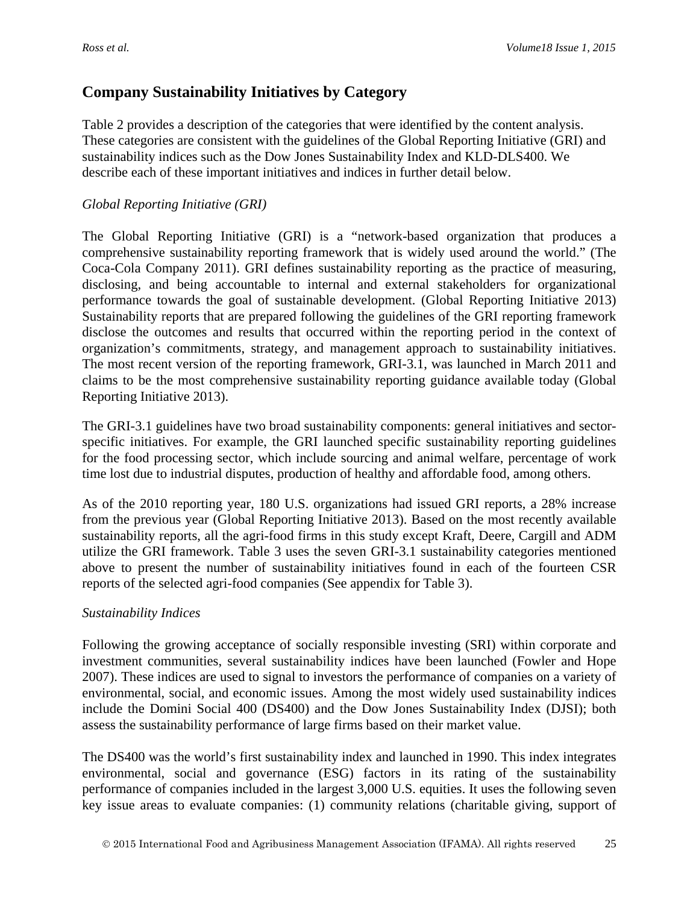## **Company Sustainability Initiatives by Category**

Table 2 provides a description of the categories that were identified by the content analysis. These categories are consistent with the guidelines of the Global Reporting Initiative (GRI) and sustainability indices such as the Dow Jones Sustainability Index and KLD-DLS400. We describe each of these important initiatives and indices in further detail below.

#### *Global Reporting Initiative (GRI)*

The Global Reporting Initiative (GRI) is a "network-based organization that produces a comprehensive sustainability reporting framework that is widely used around the world." (The Coca-Cola Company 2011). GRI defines sustainability reporting as the practice of measuring, disclosing, and being accountable to internal and external stakeholders for organizational performance towards the goal of sustainable development. (Global Reporting Initiative 2013) Sustainability reports that are prepared following the guidelines of the GRI reporting framework disclose the outcomes and results that occurred within the reporting period in the context of organization's commitments, strategy, and management approach to sustainability initiatives. The most recent version of the reporting framework, GRI-3.1, was launched in March 2011 and claims to be the most comprehensive sustainability reporting guidance available today (Global Reporting Initiative 2013).

The GRI-3.1 guidelines have two broad sustainability components: general initiatives and sectorspecific initiatives. For example, the GRI launched specific sustainability reporting guidelines for the food processing sector, which include sourcing and animal welfare, percentage of work time lost due to industrial disputes, production of healthy and affordable food, among others.

As of the 2010 reporting year, 180 U.S. organizations had issued GRI reports, a 28% increase from the previous year (Global Reporting Initiative 2013). Based on the most recently available sustainability reports, all the agri-food firms in this study except Kraft, Deere, Cargill and ADM utilize the GRI framework. Table 3 uses the seven GRI-3.1 sustainability categories mentioned above to present the number of sustainability initiatives found in each of the fourteen CSR reports of the selected agri-food companies (See appendix for Table 3).

#### *Sustainability Indices*

Following the growing acceptance of socially responsible investing (SRI) within corporate and investment communities, several sustainability indices have been launched (Fowler and Hope 2007). These indices are used to signal to investors the performance of companies on a variety of environmental, social, and economic issues. Among the most widely used sustainability indices include the Domini Social 400 (DS400) and the Dow Jones Sustainability Index (DJSI); both assess the sustainability performance of large firms based on their market value.

The DS400 was the world's first sustainability index and launched in 1990. This index integrates environmental, social and governance (ESG) factors in its rating of the sustainability performance of companies included in the largest 3,000 U.S. equities. It uses the following seven key issue areas to evaluate companies: (1) community relations (charitable giving, support of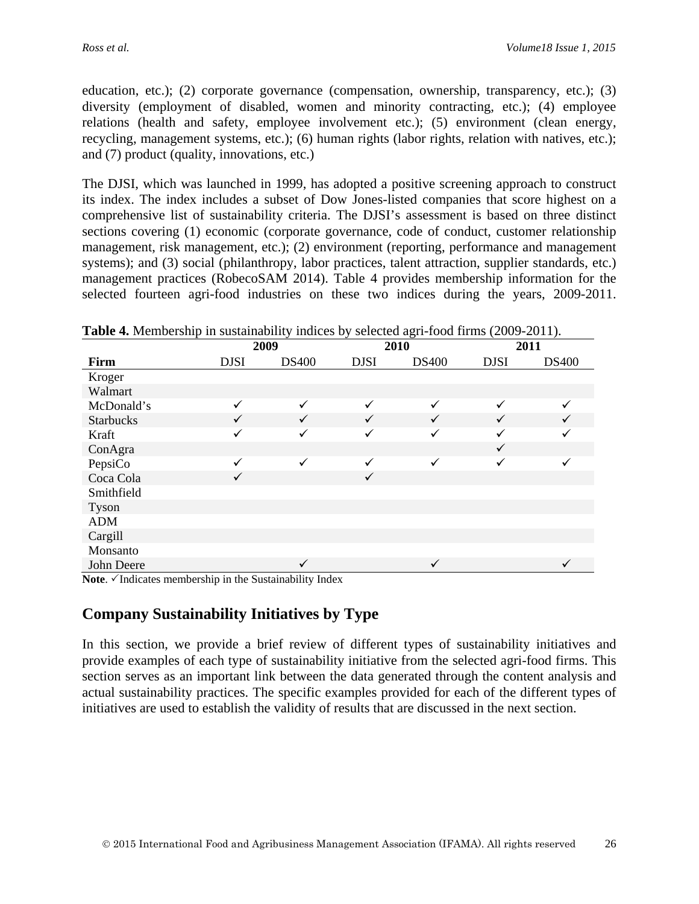education, etc.); (2) corporate governance (compensation, ownership, transparency, etc.); (3) diversity (employment of disabled, women and minority contracting, etc.); (4) employee relations (health and safety, employee involvement etc.); (5) environment (clean energy, recycling, management systems, etc.); (6) human rights (labor rights, relation with natives, etc.); and (7) product (quality, innovations, etc.)

The DJSI, which was launched in 1999, has adopted a positive screening approach to construct its index. The index includes a subset of Dow Jones-listed companies that score highest on a comprehensive list of sustainability criteria. The DJSI's assessment is based on three distinct sections covering (1) economic (corporate governance, code of conduct, customer relationship management, risk management, etc.); (2) environment (reporting, performance and management systems); and (3) social (philanthropy, labor practices, talent attraction, supplier standards, etc.) management practices (RobecoSAM 2014). Table 4 provides membership information for the selected fourteen agri-food industries on these two indices during the years, 2009-2011.

| <b>Table 4.</b> Membership in sustainability indices by selected agri-food firms (2009-2011). |              |              |              |              |              |              |  |  |  |  |  |
|-----------------------------------------------------------------------------------------------|--------------|--------------|--------------|--------------|--------------|--------------|--|--|--|--|--|
|                                                                                               | 2009         |              |              | 2010         |              | 2011         |  |  |  |  |  |
| Firm                                                                                          | <b>DJSI</b>  | <b>DS400</b> | <b>DJSI</b>  | <b>DS400</b> | <b>DJSI</b>  | <b>DS400</b> |  |  |  |  |  |
| Kroger                                                                                        |              |              |              |              |              |              |  |  |  |  |  |
| Walmart                                                                                       |              |              |              |              |              |              |  |  |  |  |  |
| McDonald's                                                                                    | ✓            | ✓            | ✓            | ✓            | ✓            |              |  |  |  |  |  |
| <b>Starbucks</b>                                                                              | $\checkmark$ | $\checkmark$ | $\checkmark$ | ✓            | $\checkmark$ |              |  |  |  |  |  |
| Kraft                                                                                         | ✓            | ✓            | ✓            | ✓            | ✓            |              |  |  |  |  |  |
| ConAgra                                                                                       |              |              |              |              | $\checkmark$ |              |  |  |  |  |  |
| PepsiCo                                                                                       | ✓            | $\checkmark$ | ✓            | ✓            | ✓            | $\checkmark$ |  |  |  |  |  |
| Coca Cola                                                                                     | $\checkmark$ |              | $\checkmark$ |              |              |              |  |  |  |  |  |
| Smithfield                                                                                    |              |              |              |              |              |              |  |  |  |  |  |
| <b>Tyson</b>                                                                                  |              |              |              |              |              |              |  |  |  |  |  |
| <b>ADM</b>                                                                                    |              |              |              |              |              |              |  |  |  |  |  |
| Cargill                                                                                       |              |              |              |              |              |              |  |  |  |  |  |
| Monsanto                                                                                      |              |              |              |              |              |              |  |  |  |  |  |
| John Deere                                                                                    |              | $\checkmark$ |              | ✓            |              | $\checkmark$ |  |  |  |  |  |

**Table 4.** Membership in sustainability indices by selected agri-food firms (2009-2011).

Note.  $\checkmark$ Indicates membership in the Sustainability Index

### **Company Sustainability Initiatives by Type**

In this section, we provide a brief review of different types of sustainability initiatives and provide examples of each type of sustainability initiative from the selected agri-food firms. This section serves as an important link between the data generated through the content analysis and actual sustainability practices. The specific examples provided for each of the different types of initiatives are used to establish the validity of results that are discussed in the next section.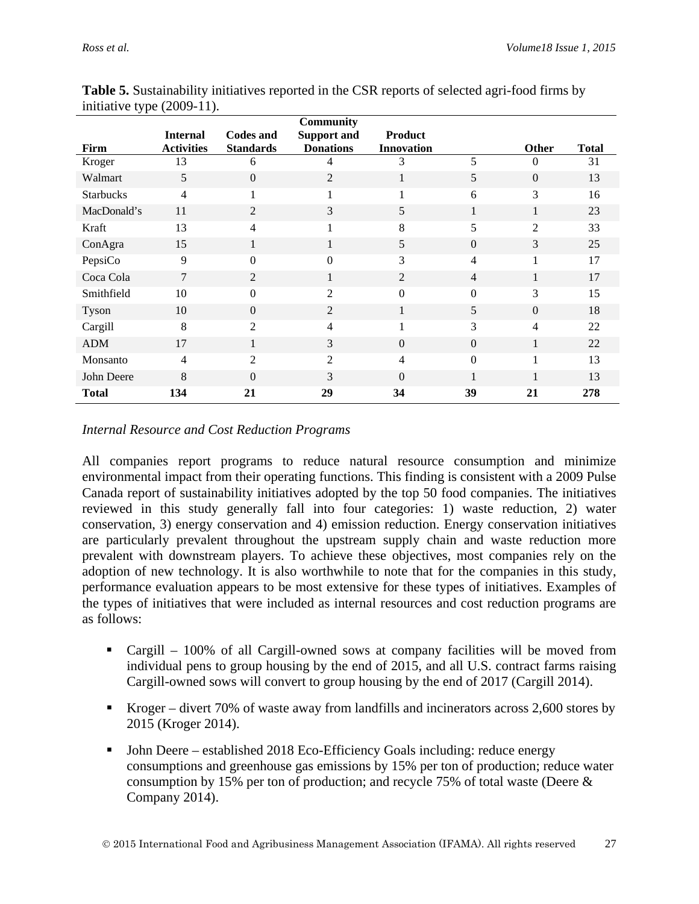| . .              | <b>Internal</b>   | <b>Codes and</b> | <b>Community</b><br><b>Support and</b> | <b>Product</b>    |                |                |              |
|------------------|-------------------|------------------|----------------------------------------|-------------------|----------------|----------------|--------------|
| Firm             | <b>Activities</b> | <b>Standards</b> | <b>Donations</b>                       | <b>Innovation</b> |                | <b>Other</b>   | <b>Total</b> |
| Kroger           | 13                | 6                | 4                                      | 3                 | 5              | $\theta$       | 31           |
| Walmart          | 5                 | $\overline{0}$   | 2                                      | 1                 | 5              | $\Omega$       | 13           |
| <b>Starbucks</b> | 4                 | $\mathbf{1}$     | 1                                      | 1                 | 6              | 3              | 16           |
| MacDonald's      | 11                | 2                | 3                                      | 5                 | 1              | 1              | 23           |
| Kraft            | 13                | 4                |                                        | 8                 | 5              | 2              | 33           |
| ConAgra          | 15                | 1                | $\bf{l}$                               | 5                 | $\overline{0}$ | 3              | 25           |
| PepsiCo          | 9                 | $\boldsymbol{0}$ | $\Omega$                               | 3                 | $\overline{4}$ | 1              | 17           |
| Coca Cola        | 7                 | $\mathbf{2}$     | 1                                      | 2                 | $\overline{4}$ | 1              | 17           |
| Smithfield       | 10                | $\boldsymbol{0}$ | $\overline{2}$                         | $\Omega$          | $\Omega$       | 3              | 15           |
| Tyson            | 10                | $\overline{0}$   | 2                                      | $\mathbf{1}$      | 5              | $\Omega$       | 18           |
| Cargill          | 8                 | 2                | $\overline{4}$                         | $\mathbf{1}$      | 3              | $\overline{4}$ | 22           |
| <b>ADM</b>       | 17                | $\mathbf{1}$     | 3                                      | $\Omega$          | $\Omega$       | 1              | 22           |
| Monsanto         | $\overline{4}$    | 2                | $\overline{2}$                         | 4                 | $\Omega$       |                | 13           |
| John Deere       | 8                 | $\overline{0}$   | 3                                      | $\Omega$          |                |                | 13           |
| <b>Total</b>     | 134               | 21               | 29                                     | 34                | 39             | 21             | 278          |

**Table 5.** Sustainability initiatives reported in the CSR reports of selected agri-food firms by initiative type (2009-11).

#### *Internal Resource and Cost Reduction Programs*

All companies report programs to reduce natural resource consumption and minimize environmental impact from their operating functions. This finding is consistent with a 2009 Pulse Canada report of sustainability initiatives adopted by the top 50 food companies. The initiatives reviewed in this study generally fall into four categories: 1) waste reduction, 2) water conservation, 3) energy conservation and 4) emission reduction. Energy conservation initiatives are particularly prevalent throughout the upstream supply chain and waste reduction more prevalent with downstream players. To achieve these objectives, most companies rely on the adoption of new technology. It is also worthwhile to note that for the companies in this study, performance evaluation appears to be most extensive for these types of initiatives. Examples of the types of initiatives that were included as internal resources and cost reduction programs are as follows:

- Cargill 100% of all Cargill-owned sows at company facilities will be moved from individual pens to group housing by the end of 2015, and all U.S. contract farms raising Cargill-owned sows will convert to group housing by the end of 2017 (Cargill 2014).
- Kroger divert 70% of waste away from landfills and incinerators across 2,600 stores by 2015 (Kroger 2014).
- John Deere established 2018 Eco-Efficiency Goals including: reduce energy consumptions and greenhouse gas emissions by 15% per ton of production; reduce water consumption by 15% per ton of production; and recycle 75% of total waste (Deere & Company 2014).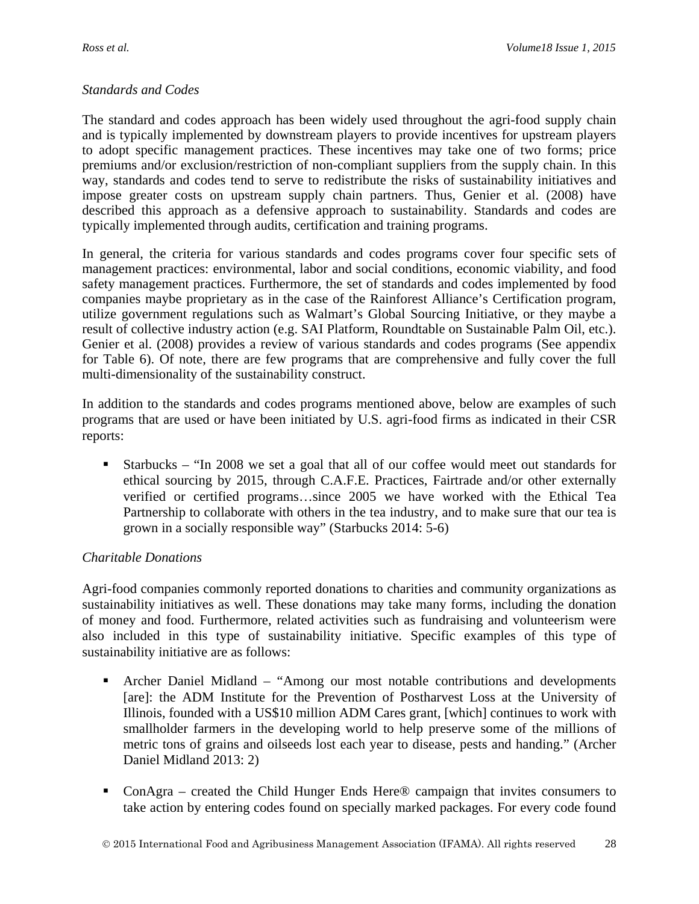#### *Standards and Codes*

The standard and codes approach has been widely used throughout the agri-food supply chain and is typically implemented by downstream players to provide incentives for upstream players to adopt specific management practices. These incentives may take one of two forms; price premiums and/or exclusion/restriction of non-compliant suppliers from the supply chain. In this way, standards and codes tend to serve to redistribute the risks of sustainability initiatives and impose greater costs on upstream supply chain partners. Thus, Genier et al. (2008) have described this approach as a defensive approach to sustainability. Standards and codes are typically implemented through audits, certification and training programs.

In general, the criteria for various standards and codes programs cover four specific sets of management practices: environmental, labor and social conditions, economic viability, and food safety management practices. Furthermore, the set of standards and codes implemented by food companies maybe proprietary as in the case of the Rainforest Alliance's Certification program, utilize government regulations such as Walmart's Global Sourcing Initiative, or they maybe a result of collective industry action (e.g. SAI Platform, Roundtable on Sustainable Palm Oil, etc.). Genier et al. (2008) provides a review of various standards and codes programs (See appendix for Table 6). Of note, there are few programs that are comprehensive and fully cover the full multi-dimensionality of the sustainability construct.

In addition to the standards and codes programs mentioned above, below are examples of such programs that are used or have been initiated by U.S. agri-food firms as indicated in their CSR reports:

 Starbucks – "In 2008 we set a goal that all of our coffee would meet out standards for ethical sourcing by 2015, through C.A.F.E. Practices, Fairtrade and/or other externally verified or certified programs…since 2005 we have worked with the Ethical Tea Partnership to collaborate with others in the tea industry, and to make sure that our tea is grown in a socially responsible way" (Starbucks 2014: 5-6)

#### *Charitable Donations*

Agri-food companies commonly reported donations to charities and community organizations as sustainability initiatives as well. These donations may take many forms, including the donation of money and food. Furthermore, related activities such as fundraising and volunteerism were also included in this type of sustainability initiative. Specific examples of this type of sustainability initiative are as follows:

- Archer Daniel Midland "Among our most notable contributions and developments [are]: the ADM Institute for the Prevention of Postharvest Loss at the University of Illinois, founded with a US\$10 million ADM Cares grant, [which] continues to work with smallholder farmers in the developing world to help preserve some of the millions of metric tons of grains and oilseeds lost each year to disease, pests and handing." (Archer Daniel Midland 2013: 2)
- ConAgra created the Child Hunger Ends Here® campaign that invites consumers to take action by entering codes found on specially marked packages. For every code found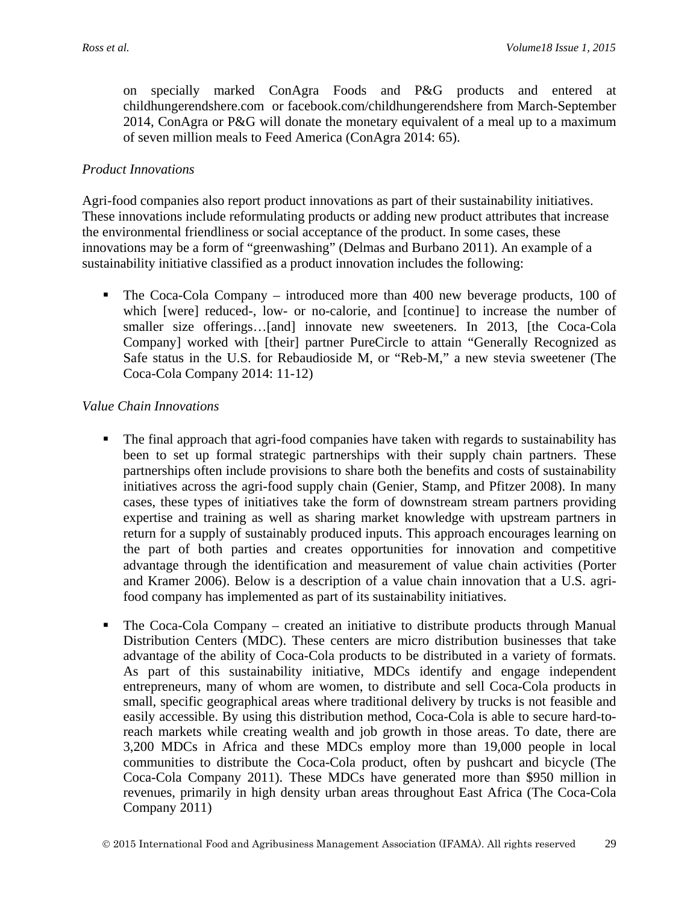on specially marked ConAgra Foods and P&G products and entered at childhungerendshere.com or facebook.com/childhungerendshere from March-September 2014, ConAgra or P&G will donate the monetary equivalent of a meal up to a maximum of seven million meals to Feed America (ConAgra 2014: 65).

#### *Product Innovations*

Agri-food companies also report product innovations as part of their sustainability initiatives. These innovations include reformulating products or adding new product attributes that increase the environmental friendliness or social acceptance of the product. In some cases, these innovations may be a form of "greenwashing" (Delmas and Burbano 2011). An example of a sustainability initiative classified as a product innovation includes the following:

• The Coca-Cola Company – introduced more than 400 new beverage products, 100 of which [were] reduced-, low- or no-calorie, and [continue] to increase the number of smaller size offerings...[and] innovate new sweeteners. In 2013, [the Coca-Cola Company] worked with [their] partner PureCircle to attain "Generally Recognized as Safe status in the U.S. for Rebaudioside M, or "Reb-M," a new stevia sweetener (The Coca-Cola Company 2014: 11-12)

#### *Value Chain Innovations*

- The final approach that agri-food companies have taken with regards to sustainability has been to set up formal strategic partnerships with their supply chain partners. These partnerships often include provisions to share both the benefits and costs of sustainability initiatives across the agri-food supply chain (Genier, Stamp, and Pfitzer 2008). In many cases, these types of initiatives take the form of downstream stream partners providing expertise and training as well as sharing market knowledge with upstream partners in return for a supply of sustainably produced inputs. This approach encourages learning on the part of both parties and creates opportunities for innovation and competitive advantage through the identification and measurement of value chain activities (Porter and Kramer 2006). Below is a description of a value chain innovation that a U.S. agrifood company has implemented as part of its sustainability initiatives.
- The Coca-Cola Company created an initiative to distribute products through Manual Distribution Centers (MDC). These centers are micro distribution businesses that take advantage of the ability of Coca-Cola products to be distributed in a variety of formats. As part of this sustainability initiative, MDCs identify and engage independent entrepreneurs, many of whom are women, to distribute and sell Coca-Cola products in small, specific geographical areas where traditional delivery by trucks is not feasible and easily accessible. By using this distribution method, Coca-Cola is able to secure hard-toreach markets while creating wealth and job growth in those areas. To date, there are 3,200 MDCs in Africa and these MDCs employ more than 19,000 people in local communities to distribute the Coca-Cola product, often by pushcart and bicycle (The Coca-Cola Company 2011). These MDCs have generated more than \$950 million in revenues, primarily in high density urban areas throughout East Africa (The Coca-Cola Company 2011)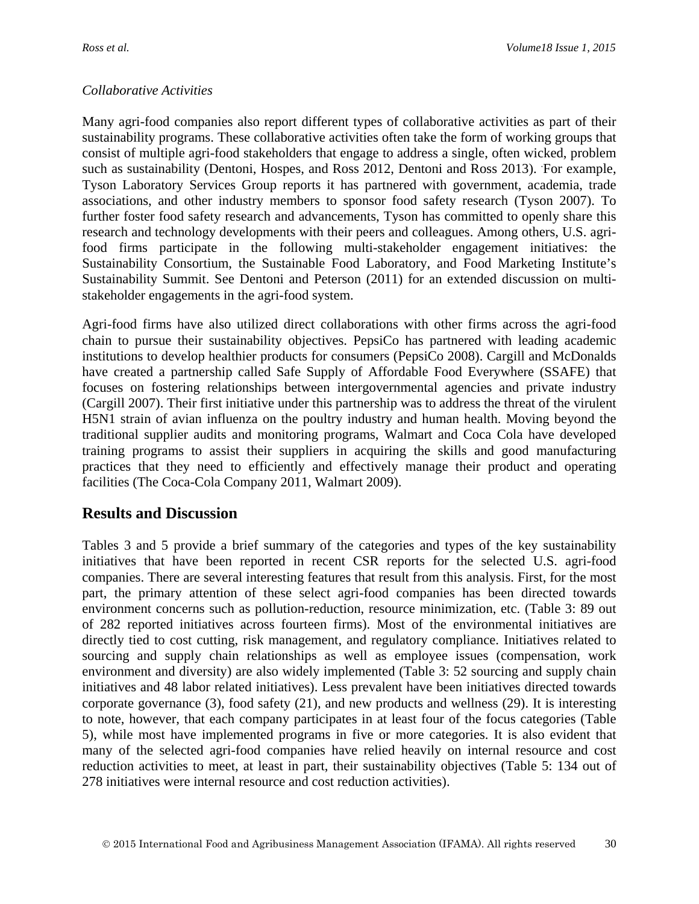#### *Collaborative Activities*

Many agri-food companies also report different types of collaborative activities as part of their sustainability programs. These collaborative activities often take the form of working groups that consist of multiple agri-food stakeholders that engage to address a single, often wicked, problem such as sustainability (Dentoni, Hospes, and Ross 2012, Dentoni and Ross 2013). For example, Tyson Laboratory Services Group reports it has partnered with government, academia, trade associations, and other industry members to sponsor food safety research (Tyson 2007). To further foster food safety research and advancements, Tyson has committed to openly share this research and technology developments with their peers and colleagues. Among others, U.S. agrifood firms participate in the following multi-stakeholder engagement initiatives: the Sustainability Consortium, the Sustainable Food Laboratory, and Food Marketing Institute's Sustainability Summit. See Dentoni and Peterson (2011) for an extended discussion on multistakeholder engagements in the agri-food system.

Agri-food firms have also utilized direct collaborations with other firms across the agri-food chain to pursue their sustainability objectives. PepsiCo has partnered with leading academic institutions to develop healthier products for consumers (PepsiCo 2008). Cargill and McDonalds have created a partnership called Safe Supply of Affordable Food Everywhere (SSAFE) that focuses on fostering relationships between intergovernmental agencies and private industry (Cargill 2007). Their first initiative under this partnership was to address the threat of the virulent H5N1 strain of avian influenza on the poultry industry and human health. Moving beyond the traditional supplier audits and monitoring programs, Walmart and Coca Cola have developed training programs to assist their suppliers in acquiring the skills and good manufacturing practices that they need to efficiently and effectively manage their product and operating facilities (The Coca-Cola Company 2011, Walmart 2009).

### **Results and Discussion**

Tables 3 and 5 provide a brief summary of the categories and types of the key sustainability initiatives that have been reported in recent CSR reports for the selected U.S. agri-food companies. There are several interesting features that result from this analysis. First, for the most part, the primary attention of these select agri-food companies has been directed towards environment concerns such as pollution-reduction, resource minimization, etc. (Table 3: 89 out of 282 reported initiatives across fourteen firms). Most of the environmental initiatives are directly tied to cost cutting, risk management, and regulatory compliance. Initiatives related to sourcing and supply chain relationships as well as employee issues (compensation, work environment and diversity) are also widely implemented (Table 3: 52 sourcing and supply chain initiatives and 48 labor related initiatives). Less prevalent have been initiatives directed towards corporate governance (3), food safety (21), and new products and wellness (29). It is interesting to note, however, that each company participates in at least four of the focus categories (Table 5), while most have implemented programs in five or more categories. It is also evident that many of the selected agri-food companies have relied heavily on internal resource and cost reduction activities to meet, at least in part, their sustainability objectives (Table 5: 134 out of 278 initiatives were internal resource and cost reduction activities).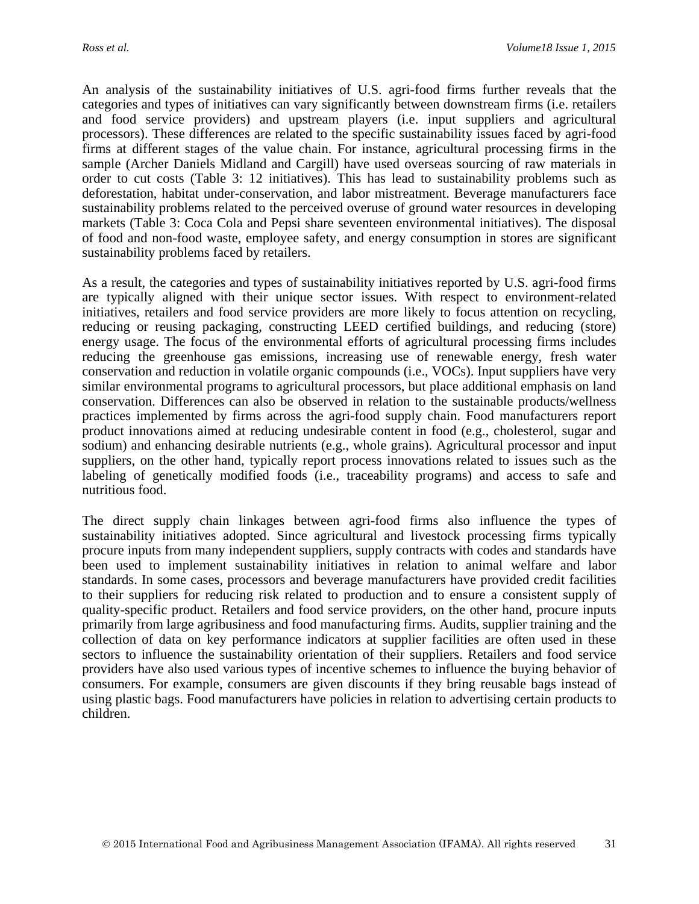An analysis of the sustainability initiatives of U.S. agri-food firms further reveals that the categories and types of initiatives can vary significantly between downstream firms (i.e. retailers and food service providers) and upstream players (i.e. input suppliers and agricultural processors). These differences are related to the specific sustainability issues faced by agri-food firms at different stages of the value chain. For instance, agricultural processing firms in the sample (Archer Daniels Midland and Cargill) have used overseas sourcing of raw materials in order to cut costs (Table 3: 12 initiatives). This has lead to sustainability problems such as deforestation, habitat under-conservation, and labor mistreatment. Beverage manufacturers face sustainability problems related to the perceived overuse of ground water resources in developing markets (Table 3: Coca Cola and Pepsi share seventeen environmental initiatives). The disposal of food and non-food waste, employee safety, and energy consumption in stores are significant sustainability problems faced by retailers.

As a result, the categories and types of sustainability initiatives reported by U.S. agri-food firms are typically aligned with their unique sector issues. With respect to environment-related initiatives, retailers and food service providers are more likely to focus attention on recycling, reducing or reusing packaging, constructing LEED certified buildings, and reducing (store) energy usage. The focus of the environmental efforts of agricultural processing firms includes reducing the greenhouse gas emissions, increasing use of renewable energy, fresh water conservation and reduction in volatile organic compounds (i.e., VOCs). Input suppliers have very similar environmental programs to agricultural processors, but place additional emphasis on land conservation. Differences can also be observed in relation to the sustainable products/wellness practices implemented by firms across the agri-food supply chain. Food manufacturers report product innovations aimed at reducing undesirable content in food (e.g., cholesterol, sugar and sodium) and enhancing desirable nutrients (e.g., whole grains). Agricultural processor and input suppliers, on the other hand, typically report process innovations related to issues such as the labeling of genetically modified foods (i.e., traceability programs) and access to safe and nutritious food.

The direct supply chain linkages between agri-food firms also influence the types of sustainability initiatives adopted. Since agricultural and livestock processing firms typically procure inputs from many independent suppliers, supply contracts with codes and standards have been used to implement sustainability initiatives in relation to animal welfare and labor standards. In some cases, processors and beverage manufacturers have provided credit facilities to their suppliers for reducing risk related to production and to ensure a consistent supply of quality-specific product. Retailers and food service providers, on the other hand, procure inputs primarily from large agribusiness and food manufacturing firms. Audits, supplier training and the collection of data on key performance indicators at supplier facilities are often used in these sectors to influence the sustainability orientation of their suppliers. Retailers and food service providers have also used various types of incentive schemes to influence the buying behavior of consumers. For example, consumers are given discounts if they bring reusable bags instead of using plastic bags. Food manufacturers have policies in relation to advertising certain products to children.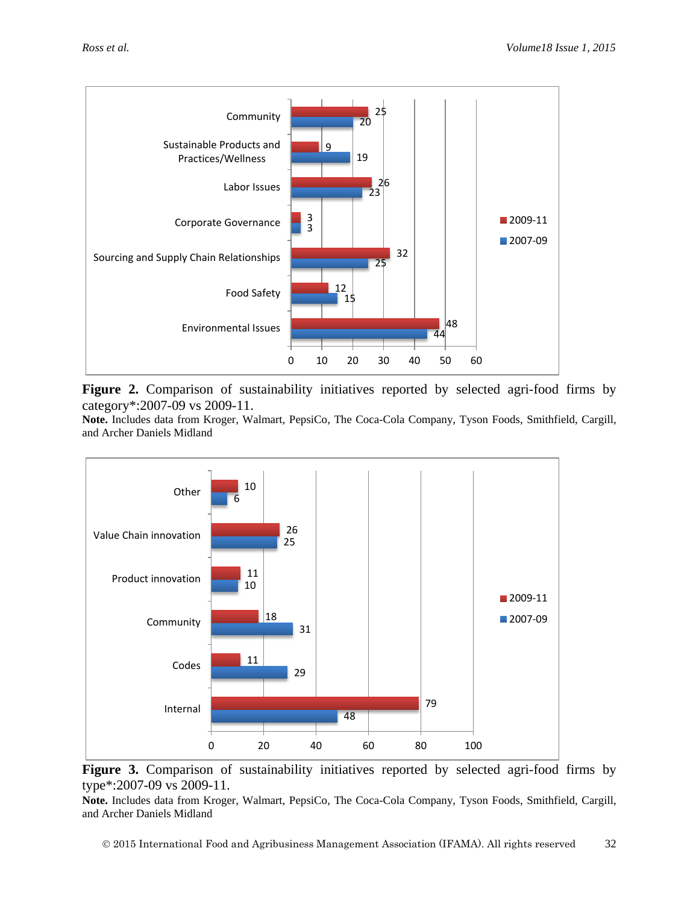

Figure 2. Comparison of sustainability initiatives reported by selected agri-food firms by category\*:2007-09 vs 2009-11.

**Note.** Includes data from Kroger, Walmart, PepsiCo, The Coca-Cola Company, Tyson Foods, Smithfield, Cargill, and Archer Daniels Midland



Figure 3. Comparison of sustainability initiatives reported by selected agri-food firms by type\*:2007-09 vs 2009-11.

**Note.** Includes data from Kroger, Walmart, PepsiCo, The Coca-Cola Company, Tyson Foods, Smithfield, Cargill, and Archer Daniels Midland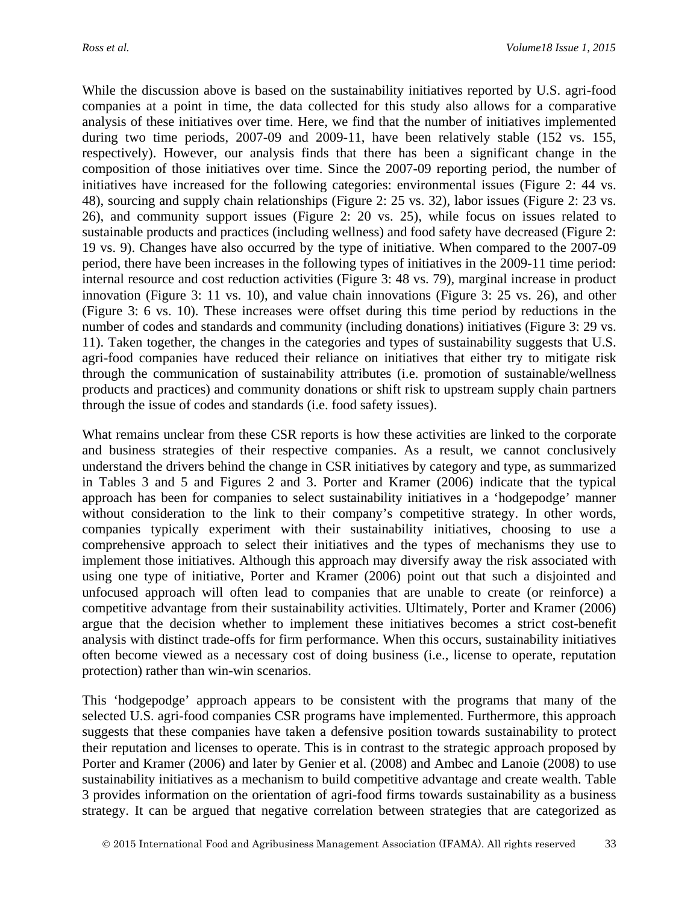While the discussion above is based on the sustainability initiatives reported by U.S. agri-food companies at a point in time, the data collected for this study also allows for a comparative analysis of these initiatives over time. Here, we find that the number of initiatives implemented during two time periods, 2007-09 and 2009-11, have been relatively stable (152 vs. 155, respectively). However, our analysis finds that there has been a significant change in the composition of those initiatives over time. Since the 2007-09 reporting period, the number of initiatives have increased for the following categories: environmental issues (Figure 2: 44 vs. 48), sourcing and supply chain relationships (Figure 2: 25 vs. 32), labor issues (Figure 2: 23 vs. 26), and community support issues (Figure 2: 20 vs. 25), while focus on issues related to sustainable products and practices (including wellness) and food safety have decreased (Figure 2: 19 vs. 9). Changes have also occurred by the type of initiative. When compared to the 2007-09 period, there have been increases in the following types of initiatives in the 2009-11 time period: internal resource and cost reduction activities (Figure 3: 48 vs. 79), marginal increase in product innovation (Figure 3: 11 vs. 10), and value chain innovations (Figure 3: 25 vs. 26), and other (Figure 3: 6 vs. 10). These increases were offset during this time period by reductions in the number of codes and standards and community (including donations) initiatives (Figure 3: 29 vs. 11). Taken together, the changes in the categories and types of sustainability suggests that U.S. agri-food companies have reduced their reliance on initiatives that either try to mitigate risk through the communication of sustainability attributes (i.e. promotion of sustainable/wellness products and practices) and community donations or shift risk to upstream supply chain partners through the issue of codes and standards (i.e. food safety issues).

What remains unclear from these CSR reports is how these activities are linked to the corporate and business strategies of their respective companies. As a result, we cannot conclusively understand the drivers behind the change in CSR initiatives by category and type, as summarized in Tables 3 and 5 and Figures 2 and 3. Porter and Kramer (2006) indicate that the typical approach has been for companies to select sustainability initiatives in a 'hodgepodge' manner without consideration to the link to their company's competitive strategy. In other words, companies typically experiment with their sustainability initiatives, choosing to use a comprehensive approach to select their initiatives and the types of mechanisms they use to implement those initiatives. Although this approach may diversify away the risk associated with using one type of initiative, Porter and Kramer (2006) point out that such a disjointed and unfocused approach will often lead to companies that are unable to create (or reinforce) a competitive advantage from their sustainability activities. Ultimately, Porter and Kramer (2006) argue that the decision whether to implement these initiatives becomes a strict cost-benefit analysis with distinct trade-offs for firm performance. When this occurs, sustainability initiatives often become viewed as a necessary cost of doing business (i.e., license to operate, reputation protection) rather than win-win scenarios.

This 'hodgepodge' approach appears to be consistent with the programs that many of the selected U.S. agri-food companies CSR programs have implemented. Furthermore, this approach suggests that these companies have taken a defensive position towards sustainability to protect their reputation and licenses to operate. This is in contrast to the strategic approach proposed by Porter and Kramer (2006) and later by Genier et al. (2008) and Ambec and Lanoie (2008) to use sustainability initiatives as a mechanism to build competitive advantage and create wealth. Table 3 provides information on the orientation of agri-food firms towards sustainability as a business strategy. It can be argued that negative correlation between strategies that are categorized as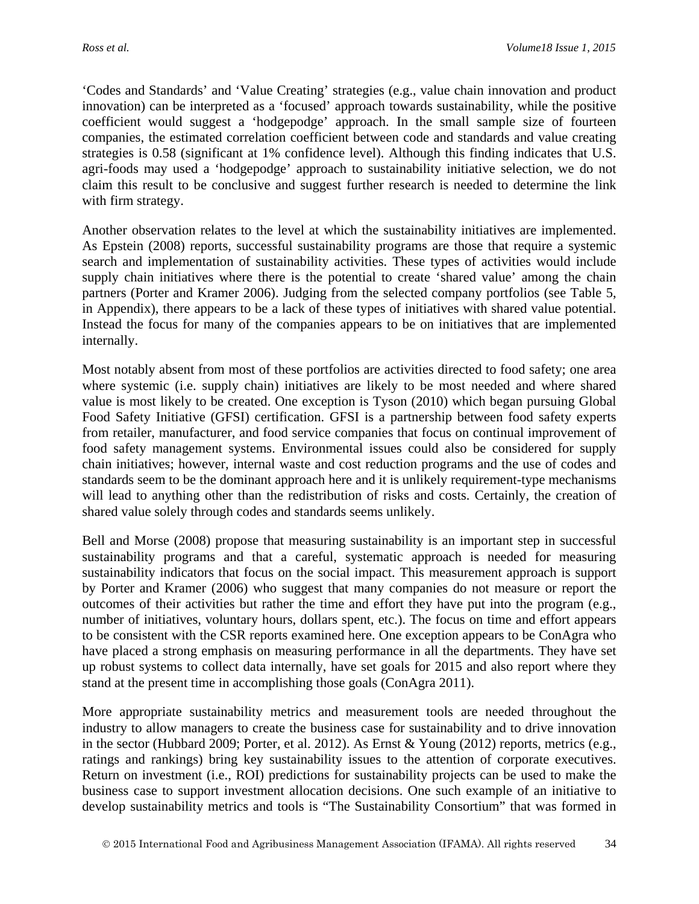'Codes and Standards' and 'Value Creating' strategies (e.g., value chain innovation and product innovation) can be interpreted as a 'focused' approach towards sustainability, while the positive coefficient would suggest a 'hodgepodge' approach. In the small sample size of fourteen companies, the estimated correlation coefficient between code and standards and value creating strategies is 0.58 (significant at 1% confidence level). Although this finding indicates that U.S. agri-foods may used a 'hodgepodge' approach to sustainability initiative selection, we do not claim this result to be conclusive and suggest further research is needed to determine the link with firm strategy.

Another observation relates to the level at which the sustainability initiatives are implemented. As Epstein (2008) reports, successful sustainability programs are those that require a systemic search and implementation of sustainability activities. These types of activities would include supply chain initiatives where there is the potential to create 'shared value' among the chain partners (Porter and Kramer 2006). Judging from the selected company portfolios (see Table 5, in Appendix), there appears to be a lack of these types of initiatives with shared value potential. Instead the focus for many of the companies appears to be on initiatives that are implemented internally.

Most notably absent from most of these portfolios are activities directed to food safety; one area where systemic (i.e. supply chain) initiatives are likely to be most needed and where shared value is most likely to be created. One exception is Tyson (2010) which began pursuing Global Food Safety Initiative (GFSI) certification. GFSI is a partnership between food safety experts from retailer, manufacturer, and food service companies that focus on continual improvement of food safety management systems. Environmental issues could also be considered for supply chain initiatives; however, internal waste and cost reduction programs and the use of codes and standards seem to be the dominant approach here and it is unlikely requirement-type mechanisms will lead to anything other than the redistribution of risks and costs. Certainly, the creation of shared value solely through codes and standards seems unlikely.

Bell and Morse (2008) propose that measuring sustainability is an important step in successful sustainability programs and that a careful, systematic approach is needed for measuring sustainability indicators that focus on the social impact. This measurement approach is support by Porter and Kramer (2006) who suggest that many companies do not measure or report the outcomes of their activities but rather the time and effort they have put into the program (e.g., number of initiatives, voluntary hours, dollars spent, etc.). The focus on time and effort appears to be consistent with the CSR reports examined here. One exception appears to be ConAgra who have placed a strong emphasis on measuring performance in all the departments. They have set up robust systems to collect data internally, have set goals for 2015 and also report where they stand at the present time in accomplishing those goals (ConAgra 2011).

More appropriate sustainability metrics and measurement tools are needed throughout the industry to allow managers to create the business case for sustainability and to drive innovation in the sector (Hubbard 2009; Porter, et al. 2012). As Ernst & Young (2012) reports, metrics (e.g., ratings and rankings) bring key sustainability issues to the attention of corporate executives. Return on investment (i.e., ROI) predictions for sustainability projects can be used to make the business case to support investment allocation decisions. One such example of an initiative to develop sustainability metrics and tools is "The Sustainability Consortium" that was formed in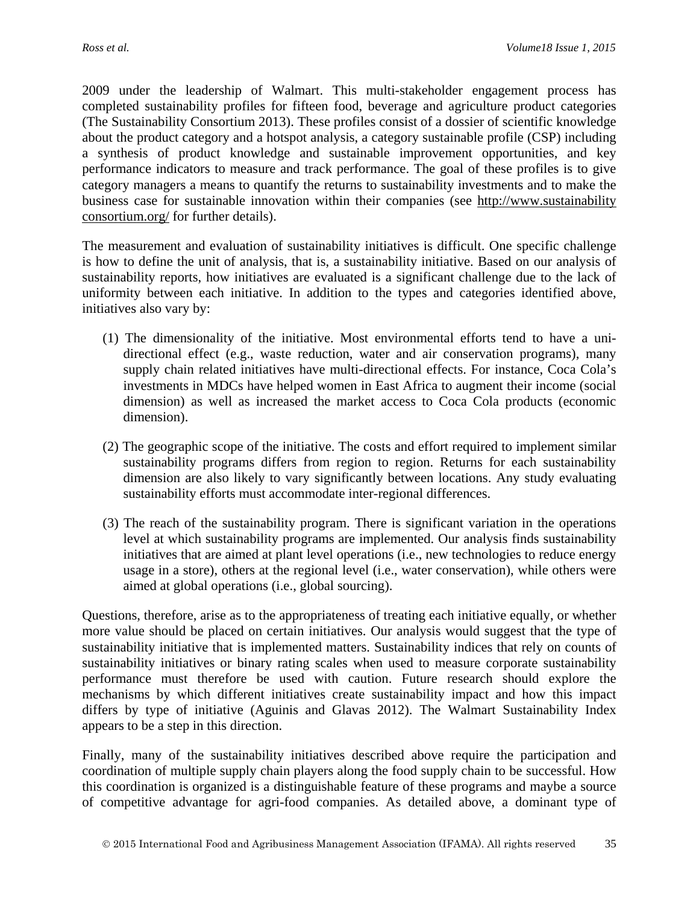2009 under the leadership of Walmart. This multi-stakeholder engagement process has completed sustainability profiles for fifteen food, beverage and agriculture product categories (The Sustainability Consortium 2013). These profiles consist of a dossier of scientific knowledge about the product category and a hotspot analysis, a category sustainable profile (CSP) including a synthesis of product knowledge and sustainable improvement opportunities, and key performance indicators to measure and track performance. The goal of these profiles is to give category managers a means to quantify the returns to sustainability investments and to make the business case for sustainable innovation within their companies (see http://www.sustainability consortium.org/ for further details).

The measurement and evaluation of sustainability initiatives is difficult. One specific challenge is how to define the unit of analysis, that is, a sustainability initiative. Based on our analysis of sustainability reports, how initiatives are evaluated is a significant challenge due to the lack of uniformity between each initiative. In addition to the types and categories identified above, initiatives also vary by:

- (1) The dimensionality of the initiative. Most environmental efforts tend to have a unidirectional effect (e.g., waste reduction, water and air conservation programs), many supply chain related initiatives have multi-directional effects. For instance, Coca Cola's investments in MDCs have helped women in East Africa to augment their income (social dimension) as well as increased the market access to Coca Cola products (economic dimension).
- (2) The geographic scope of the initiative. The costs and effort required to implement similar sustainability programs differs from region to region. Returns for each sustainability dimension are also likely to vary significantly between locations. Any study evaluating sustainability efforts must accommodate inter-regional differences.
- (3) The reach of the sustainability program. There is significant variation in the operations level at which sustainability programs are implemented. Our analysis finds sustainability initiatives that are aimed at plant level operations (i.e., new technologies to reduce energy usage in a store), others at the regional level (i.e., water conservation), while others were aimed at global operations (i.e., global sourcing).

Questions, therefore, arise as to the appropriateness of treating each initiative equally, or whether more value should be placed on certain initiatives. Our analysis would suggest that the type of sustainability initiative that is implemented matters. Sustainability indices that rely on counts of sustainability initiatives or binary rating scales when used to measure corporate sustainability performance must therefore be used with caution. Future research should explore the mechanisms by which different initiatives create sustainability impact and how this impact differs by type of initiative (Aguinis and Glavas 2012). The Walmart Sustainability Index appears to be a step in this direction.

Finally, many of the sustainability initiatives described above require the participation and coordination of multiple supply chain players along the food supply chain to be successful. How this coordination is organized is a distinguishable feature of these programs and maybe a source of competitive advantage for agri-food companies. As detailed above, a dominant type of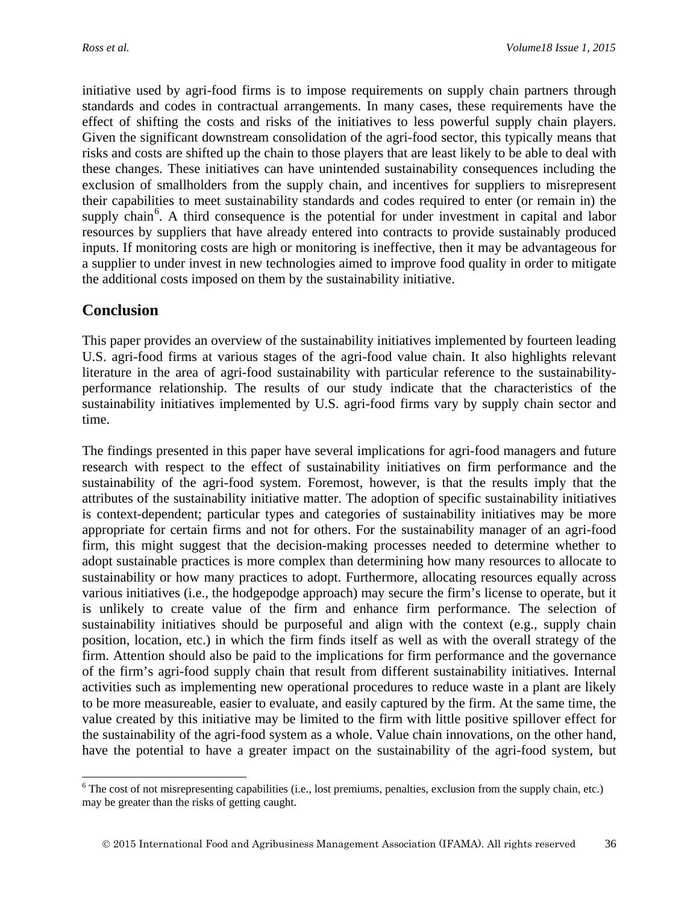initiative used by agri-food firms is to impose requirements on supply chain partners through standards and codes in contractual arrangements. In many cases, these requirements have the effect of shifting the costs and risks of the initiatives to less powerful supply chain players. Given the significant downstream consolidation of the agri-food sector, this typically means that risks and costs are shifted up the chain to those players that are least likely to be able to deal with these changes. These initiatives can have unintended sustainability consequences including the exclusion of smallholders from the supply chain, and incentives for suppliers to misrepresent their capabilities to meet sustainability standards and codes required to enter (or remain in) the supply chain<sup>[6](#page-19-0)</sup>. A third consequence is the potential for under investment in capital and labor resources by suppliers that have already entered into contracts to provide sustainably produced inputs. If monitoring costs are high or monitoring is ineffective, then it may be advantageous for a supplier to under invest in new technologies aimed to improve food quality in order to mitigate the additional costs imposed on them by the sustainability initiative.

### **Conclusion**

This paper provides an overview of the sustainability initiatives implemented by fourteen leading U.S. agri-food firms at various stages of the agri-food value chain. It also highlights relevant literature in the area of agri-food sustainability with particular reference to the sustainabilityperformance relationship. The results of our study indicate that the characteristics of the sustainability initiatives implemented by U.S. agri-food firms vary by supply chain sector and time.

The findings presented in this paper have several implications for agri-food managers and future research with respect to the effect of sustainability initiatives on firm performance and the sustainability of the agri-food system. Foremost, however, is that the results imply that the attributes of the sustainability initiative matter. The adoption of specific sustainability initiatives is context-dependent; particular types and categories of sustainability initiatives may be more appropriate for certain firms and not for others. For the sustainability manager of an agri-food firm, this might suggest that the decision-making processes needed to determine whether to adopt sustainable practices is more complex than determining how many resources to allocate to sustainability or how many practices to adopt. Furthermore, allocating resources equally across various initiatives (i.e., the hodgepodge approach) may secure the firm's license to operate, but it is unlikely to create value of the firm and enhance firm performance. The selection of sustainability initiatives should be purposeful and align with the context (e.g., supply chain position, location, etc.) in which the firm finds itself as well as with the overall strategy of the firm. Attention should also be paid to the implications for firm performance and the governance of the firm's agri-food supply chain that result from different sustainability initiatives. Internal activities such as implementing new operational procedures to reduce waste in a plant are likely to be more measureable, easier to evaluate, and easily captured by the firm. At the same time, the value created by this initiative may be limited to the firm with little positive spillover effect for the sustainability of the agri-food system as a whole. Value chain innovations, on the other hand, have the potential to have a greater impact on the sustainability of the agri-food system, but

<span id="page-19-0"></span> $6$  The cost of not misrepresenting capabilities (i.e., lost premiums, penalties, exclusion from the supply chain, etc.) may be greater than the risks of getting caught.  $\overline{a}$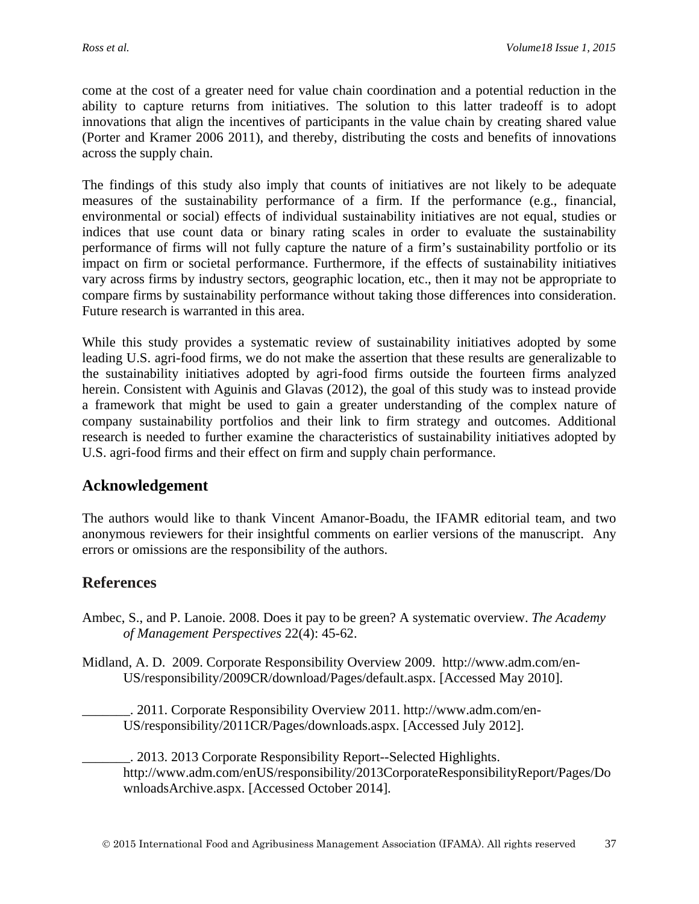come at the cost of a greater need for value chain coordination and a potential reduction in the ability to capture returns from initiatives. The solution to this latter tradeoff is to adopt innovations that align the incentives of participants in the value chain by creating shared value (Porter and Kramer 2006 2011), and thereby, distributing the costs and benefits of innovations across the supply chain.

The findings of this study also imply that counts of initiatives are not likely to be adequate measures of the sustainability performance of a firm. If the performance (e.g., financial, environmental or social) effects of individual sustainability initiatives are not equal, studies or indices that use count data or binary rating scales in order to evaluate the sustainability performance of firms will not fully capture the nature of a firm's sustainability portfolio or its impact on firm or societal performance. Furthermore, if the effects of sustainability initiatives vary across firms by industry sectors, geographic location, etc., then it may not be appropriate to compare firms by sustainability performance without taking those differences into consideration. Future research is warranted in this area.

While this study provides a systematic review of sustainability initiatives adopted by some leading U.S. agri-food firms, we do not make the assertion that these results are generalizable to the sustainability initiatives adopted by agri-food firms outside the fourteen firms analyzed herein. Consistent with Aguinis and Glavas (2012), the goal of this study was to instead provide a framework that might be used to gain a greater understanding of the complex nature of company sustainability portfolios and their link to firm strategy and outcomes. Additional research is needed to further examine the characteristics of sustainability initiatives adopted by U.S. agri-food firms and their effect on firm and supply chain performance.

## **Acknowledgement**

The authors would like to thank Vincent Amanor-Boadu, the IFAMR editorial team, and two anonymous reviewers for their insightful comments on earlier versions of the manuscript. Any errors or omissions are the responsibility of the authors.

## **References**

Ambec, S., and P. Lanoie. 2008. Does it pay to be green? A systematic overview. *The Academy of Management Perspectives* 22(4): 45-62.

Midland, A. D. 2009. Corporate Responsibility Overview 2009. http://www.adm.com/en-US/responsibility/2009CR/download/Pages/default.aspx. [Accessed May 2010].

\_\_\_\_\_\_\_. 2011. Corporate Responsibility Overview 2011. http://www.adm.com/en-US/responsibility/2011CR/Pages/downloads.aspx. [Accessed July 2012].

\_\_\_\_\_\_\_. 2013. 2013 Corporate Responsibility Report--Selected Highlights. http://www.adm.com/enUS/responsibility/2013CorporateResponsibilityReport/Pages/Do wnloadsArchive.aspx. [Accessed October 2014].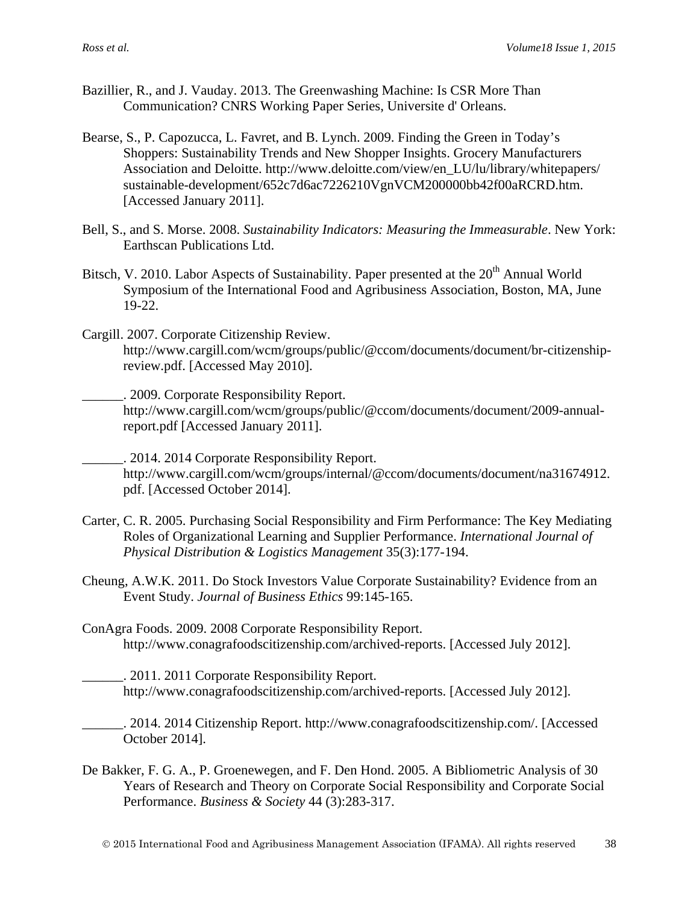- Bazillier, R., and J. Vauday. 2013. The Greenwashing Machine: Is CSR More Than Communication? CNRS Working Paper Series, Universite d' Orleans.
- Bearse, S., P. Capozucca, L. Favret, and B. Lynch. 2009. Finding the Green in Today's Shoppers: Sustainability Trends and New Shopper Insights. Grocery Manufacturers Association and Deloitte. http://www.deloitte.com/view/en\_LU/lu/library/whitepapers/ sustainable-development/652c7d6ac7226210VgnVCM200000bb42f00aRCRD.htm. [Accessed January 2011].
- Bell, S., and S. Morse. 2008. *Sustainability Indicators: Measuring the Immeasurable*. New York: Earthscan Publications Ltd.
- Bitsch, V. 2010. Labor Aspects of Sustainability. Paper presented at the 20<sup>th</sup> Annual World Symposium of the International Food and Agribusiness Association, Boston, MA, June 19-22.
- Cargill. 2007. Corporate Citizenship Review. http://www.cargill.com/wcm/groups/public/@ccom/documents/document/br-citizenshipreview.pdf. [Accessed May 2010].
	- \_\_\_\_\_\_. 2009. Corporate Responsibility Report. http://www.cargill.com/wcm/groups/public/@ccom/documents/document/2009-annualreport.pdf [Accessed January 2011].

\_\_\_\_\_\_. 2014. 2014 Corporate Responsibility Report. http://www.cargill.com/wcm/groups/internal/@ccom/documents/document/na31674912. pdf. [Accessed October 2014].

- Carter, C. R. 2005. Purchasing Social Responsibility and Firm Performance: The Key Mediating Roles of Organizational Learning and Supplier Performance. *International Journal of Physical Distribution & Logistics Management* 35(3):177-194.
- Cheung, A.W.K. 2011. Do Stock Investors Value Corporate Sustainability? Evidence from an Event Study. *Journal of Business Ethics* 99:145-165.
- ConAgra Foods. 2009. 2008 Corporate Responsibility Report. http://www.conagrafoodscitizenship.com/archived-reports. [Accessed July 2012].
	- \_\_\_\_\_\_. 2011. 2011 Corporate Responsibility Report. http://www.conagrafoodscitizenship.com/archived-reports. [Accessed July 2012].
- \_\_\_\_\_\_. 2014. 2014 Citizenship Report. http://www.conagrafoodscitizenship.com/. [Accessed October 2014].
- De Bakker, F. G. A., P. Groenewegen, and F. Den Hond. 2005. A Bibliometric Analysis of 30 Years of Research and Theory on Corporate Social Responsibility and Corporate Social Performance. *Business & Society* 44 (3):283-317.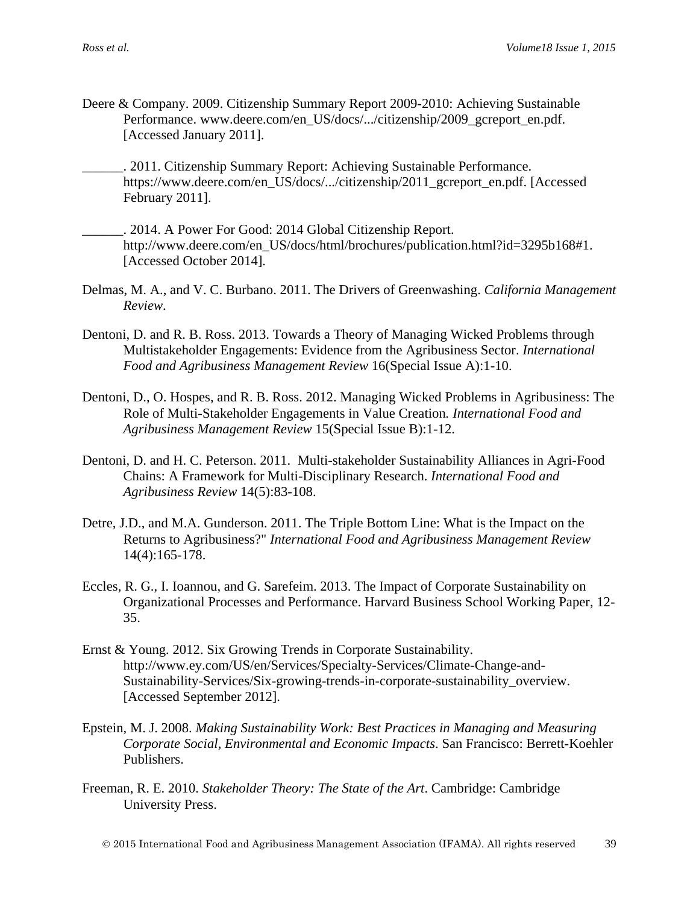- Deere & Company. 2009. Citizenship Summary Report 2009-2010: Achieving Sustainable Performance. www.deere.com/en\_US/docs/.../citizenship/2009\_gcreport\_en.pdf. [Accessed January 2011].
	- \_\_\_\_\_\_. 2011. Citizenship Summary Report: Achieving Sustainable Performance. https://www.deere.com/en\_US/docs/.../citizenship/2011\_gcreport\_en.pdf. [Accessed February 2011].
- \_\_\_\_\_\_. 2014. A Power For Good: 2014 Global Citizenship Report. http://www.deere.com/en\_US/docs/html/brochures/publication.html?id=3295b168#1. [Accessed October 2014].
- Delmas, M. A., and V. C. Burbano. 2011. The Drivers of Greenwashing. *California Management Review*.
- Dentoni, D. and R. B. Ross. 2013. Towards a Theory of Managing Wicked Problems through Multistakeholder Engagements: Evidence from the Agribusiness Sector. *International Food and Agribusiness Management Review* 16(Special Issue A):1-10.
- Dentoni, D., O. Hospes, and R. B. Ross. 2012. Managing Wicked Problems in Agribusiness: The Role of Multi-Stakeholder Engagements in Value Creation*. International Food and Agribusiness Management Review* 15(Special Issue B):1-12.
- Dentoni, D. and H. C. Peterson. 2011. Multi-stakeholder Sustainability Alliances in Agri-Food Chains: A Framework for Multi-Disciplinary Research. *International Food and Agribusiness Review* 14(5):83-108.
- Detre, J.D., and M.A. Gunderson. 2011. The Triple Bottom Line: What is the Impact on the Returns to Agribusiness?" *International Food and Agribusiness Management Review* 14(4):165-178.
- Eccles, R. G., I. Ioannou, and G. Sarefeim. 2013. The Impact of Corporate Sustainability on Organizational Processes and Performance. Harvard Business School Working Paper, 12- 35.
- Ernst & Young. 2012. Six Growing Trends in Corporate Sustainability. http://www.ey.com/US/en/Services/Specialty-Services/Climate-Change-and-Sustainability-Services/Six-growing-trends-in-corporate-sustainability\_overview. [Accessed September 2012].
- Epstein, M. J. 2008. *Making Sustainability Work: Best Practices in Managing and Measuring Corporate Social, Environmental and Economic Impacts*. San Francisco: Berrett-Koehler Publishers.
- Freeman, R. E. 2010. *Stakeholder Theory: The State of the Art*. Cambridge: Cambridge University Press.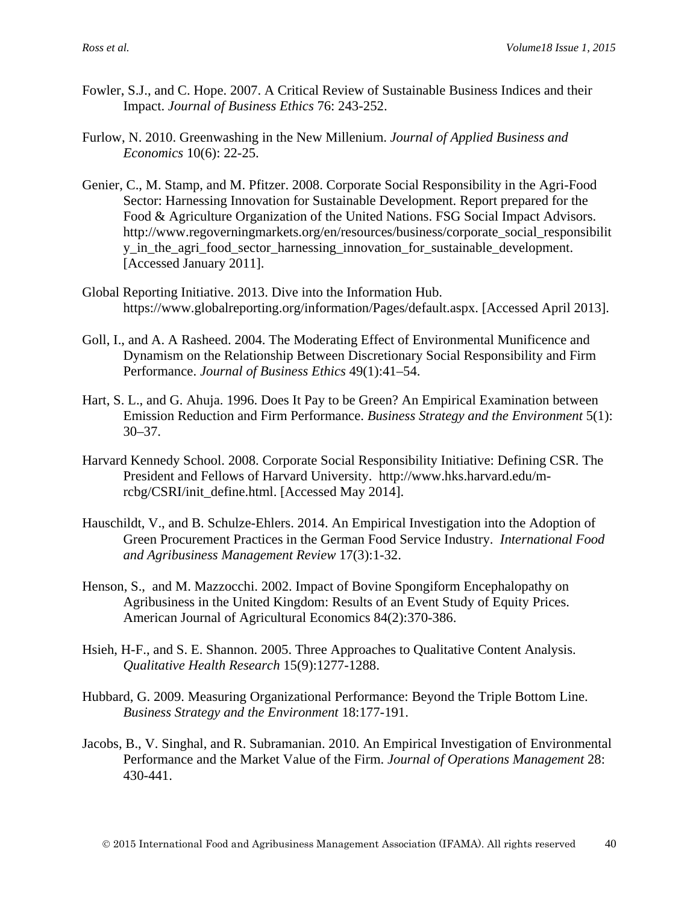- Fowler, S.J., and C. Hope. 2007. A Critical Review of Sustainable Business Indices and their Impact. *Journal of Business Ethics* 76: 243-252.
- Furlow, N. 2010. Greenwashing in the New Millenium. *Journal of Applied Business and Economics* 10(6): 22-25.
- Genier, C., M. Stamp, and M. Pfitzer. 2008. Corporate Social Responsibility in the Agri-Food Sector: Harnessing Innovation for Sustainable Development. Report prepared for the Food & Agriculture Organization of the United Nations. FSG Social Impact Advisors. http://www.regoverningmarkets.org/en/resources/business/corporate\_social\_responsibilit y\_in\_the\_agri\_food\_sector\_harnessing\_innovation\_for\_sustainable\_development. [Accessed January 2011].
- Global Reporting Initiative. 2013. Dive into the Information Hub. https://www.globalreporting.org/information/Pages/default.aspx. [Accessed April 2013].
- Goll, I., and A. A Rasheed. 2004. The Moderating Effect of Environmental Munificence and Dynamism on the Relationship Between Discretionary Social Responsibility and Firm Performance. *Journal of Business Ethics* 49(1):41–54.
- Hart, S. L., and G. Ahuja. 1996. Does It Pay to be Green? An Empirical Examination between Emission Reduction and Firm Performance. *Business Strategy and the Environment* 5(1): 30–37.
- Harvard Kennedy School. 2008. Corporate Social Responsibility Initiative: Defining CSR. The President and Fellows of Harvard University. http://www.hks.harvard.edu/mrcbg/CSRI/init\_define.html. [Accessed May 2014].
- Hauschildt, V., and B. Schulze-Ehlers. 2014. An Empirical Investigation into the Adoption of Green Procurement Practices in the German Food Service Industry. *International Food and Agribusiness Management Review* 17(3):1-32.
- Henson, S., and M. Mazzocchi. 2002. Impact of Bovine Spongiform Encephalopathy on Agribusiness in the United Kingdom: Results of an Event Study of Equity Prices. American Journal of Agricultural Economics 84(2):370-386.
- Hsieh, H-F., and S. E. Shannon. 2005. Three Approaches to Qualitative Content Analysis. *Qualitative Health Research* 15(9):1277-1288.
- Hubbard, G. 2009. Measuring Organizational Performance: Beyond the Triple Bottom Line. *Business Strategy and the Environment* 18:177-191.
- Jacobs, B., V. Singhal, and R. Subramanian. 2010. An Empirical Investigation of Environmental Performance and the Market Value of the Firm. *Journal of Operations Management* 28: 430-441.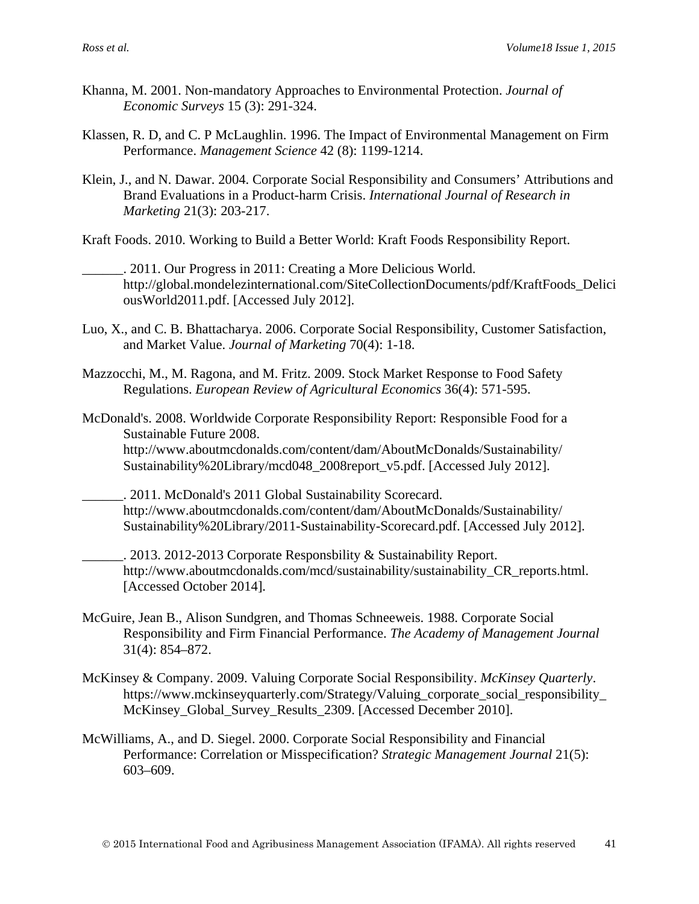- Khanna, M. 2001. Non-mandatory Approaches to Environmental Protection. *Journal of Economic Surveys* 15 (3): 291-324.
- Klassen, R. D, and C. P McLaughlin. 1996. The Impact of Environmental Management on Firm Performance. *Management Science* 42 (8): 1199-1214.
- Klein, J., and N. Dawar. 2004. Corporate Social Responsibility and Consumers' Attributions and Brand Evaluations in a Product-harm Crisis. *International Journal of Research in Marketing* 21(3): 203-217.
- Kraft Foods. 2010. Working to Build a Better World: Kraft Foods Responsibility Report.
	- \_\_\_\_\_\_. 2011. Our Progress in 2011: Creating a More Delicious World. http://global.mondelezinternational.com/SiteCollectionDocuments/pdf/KraftFoods\_Delici ousWorld2011.pdf. [Accessed July 2012].
- Luo, X., and C. B. Bhattacharya. 2006. Corporate Social Responsibility, Customer Satisfaction, and Market Value. *Journal of Marketing* 70(4): 1-18.
- Mazzocchi, M., M. Ragona, and M. Fritz. 2009. Stock Market Response to Food Safety Regulations. *European Review of Agricultural Economics* 36(4): 571-595.
- McDonald's. 2008. Worldwide Corporate Responsibility Report: Responsible Food for a Sustainable Future 2008. http://www.aboutmcdonalds.com/content/dam/AboutMcDonalds/Sustainability/ Sustainability%20Library/mcd048\_2008report\_v5.pdf. [Accessed July 2012].
- \_\_\_\_\_\_. 2011. McDonald's 2011 Global Sustainability Scorecard. http://www.aboutmcdonalds.com/content/dam/AboutMcDonalds/Sustainability/ Sustainability%20Library/2011-Sustainability-Scorecard.pdf. [Accessed July 2012].
- \_\_\_\_\_\_. 2013. 2012-2013 Corporate Responsbility & Sustainability Report. http://www.aboutmcdonalds.com/mcd/sustainability/sustainability CR reports.html. [Accessed October 2014].
- McGuire, Jean B., Alison Sundgren, and Thomas Schneeweis. 1988. Corporate Social Responsibility and Firm Financial Performance. *The Academy of Management Journal* 31(4): 854–872.
- McKinsey & Company. 2009. Valuing Corporate Social Responsibility. *McKinsey Quarterly*. https://www.mckinseyquarterly.com/Strategy/Valuing\_corporate\_social\_responsibility\_ McKinsey\_Global\_Survey\_Results\_2309. [Accessed December 2010].
- McWilliams, A., and D. Siegel. 2000. Corporate Social Responsibility and Financial Performance: Correlation or Misspecification? *Strategic Management Journal* 21(5): 603–609.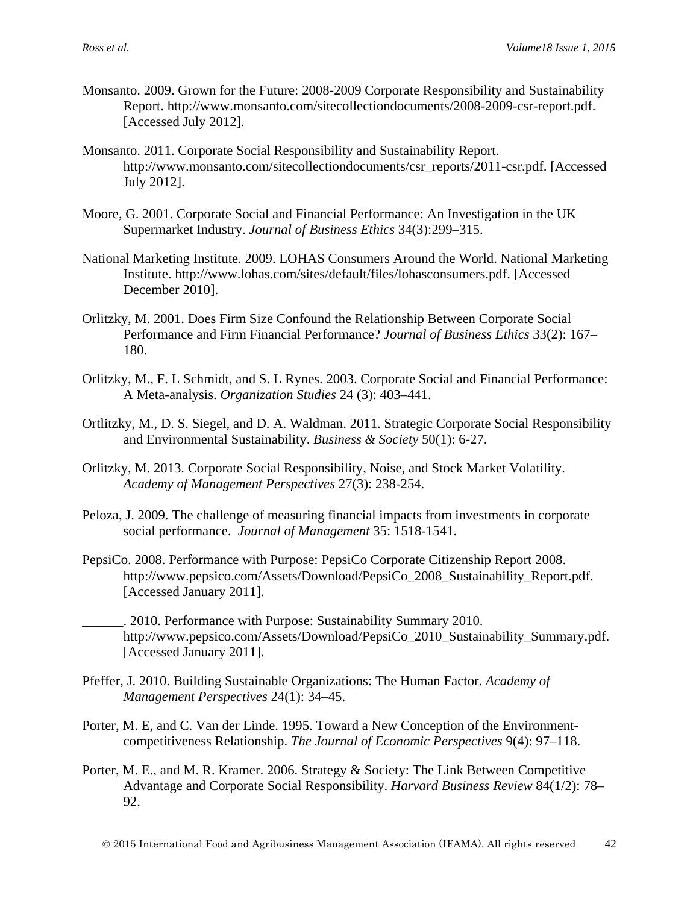- Monsanto. 2009. Grown for the Future: 2008-2009 Corporate Responsibility and Sustainability Report. http://www.monsanto.com/sitecollectiondocuments/2008-2009-csr-report.pdf. [Accessed July 2012].
- Monsanto. 2011. Corporate Social Responsibility and Sustainability Report. http://www.monsanto.com/sitecollectiondocuments/csr\_reports/2011-csr.pdf. [Accessed July 2012].
- Moore, G. 2001. Corporate Social and Financial Performance: An Investigation in the UK Supermarket Industry. *Journal of Business Ethics* 34(3):299–315.
- National Marketing Institute. 2009. LOHAS Consumers Around the World. National Marketing Institute. http://www.lohas.com/sites/default/files/lohasconsumers.pdf. [Accessed December 2010].
- Orlitzky, M. 2001. Does Firm Size Confound the Relationship Between Corporate Social Performance and Firm Financial Performance? *Journal of Business Ethics* 33(2): 167– 180.
- Orlitzky, M., F. L Schmidt, and S. L Rynes. 2003. Corporate Social and Financial Performance: A Meta-analysis. *Organization Studies* 24 (3): 403–441.
- Ortlitzky, M., D. S. Siegel, and D. A. Waldman. 2011. Strategic Corporate Social Responsibility and Environmental Sustainability. *Business & Society* 50(1): 6-27.
- Orlitzky, M. 2013. Corporate Social Responsibility, Noise, and Stock Market Volatility. *Academy of Management Perspectives* 27(3): 238-254.
- Peloza, J. 2009. The challenge of measuring financial impacts from investments in corporate social performance. *Journal of Management* 35: 1518-1541.
- PepsiCo. 2008. Performance with Purpose: PepsiCo Corporate Citizenship Report 2008. http://www.pepsico.com/Assets/Download/PepsiCo\_2008\_Sustainability\_Report.pdf. [Accessed January 2011].
- \_\_\_\_\_\_. 2010. Performance with Purpose: Sustainability Summary 2010. http://www.pepsico.com/Assets/Download/PepsiCo\_2010\_Sustainability\_Summary.pdf. [Accessed January 2011].
- Pfeffer, J. 2010. Building Sustainable Organizations: The Human Factor. *Academy of Management Perspectives* 24(1): 34–45.
- Porter, M. E, and C. Van der Linde. 1995. Toward a New Conception of the Environmentcompetitiveness Relationship. *The Journal of Economic Perspectives* 9(4): 97–118.
- Porter, M. E., and M. R. Kramer. 2006. Strategy & Society: The Link Between Competitive Advantage and Corporate Social Responsibility. *Harvard Business Review* 84(1/2): 78– 92.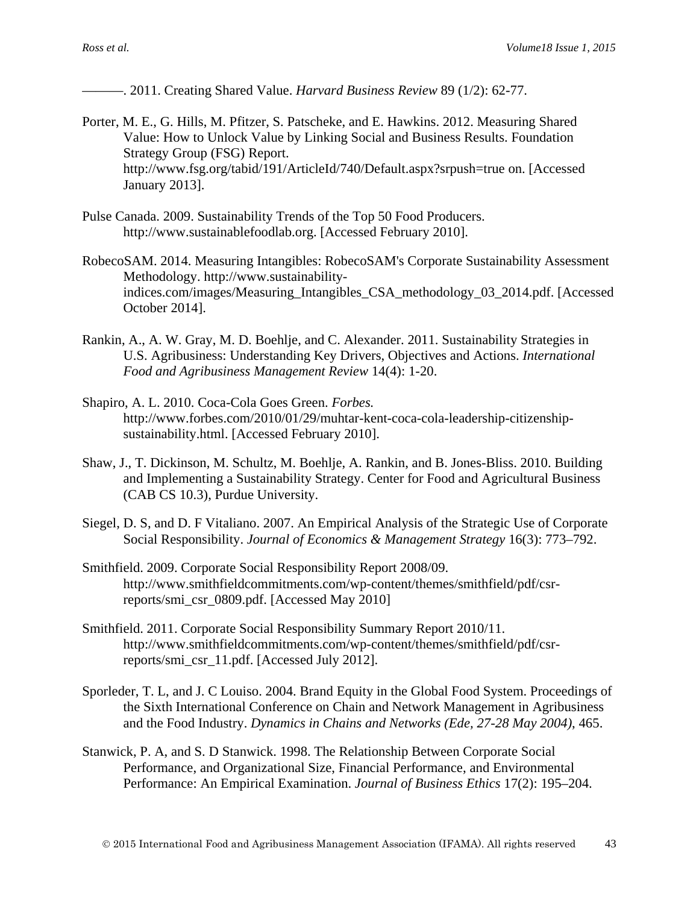———. 2011. Creating Shared Value. *Harvard Business Review* 89 (1/2): 62-77.

- Porter, M. E., G. Hills, M. Pfitzer, S. Patscheke, and E. Hawkins. 2012. Measuring Shared Value: How to Unlock Value by Linking Social and Business Results. Foundation Strategy Group (FSG) Report. http://www.fsg.org/tabid/191/ArticleId/740/Default.aspx?srpush=true on. [Accessed January 2013].
- Pulse Canada. 2009. Sustainability Trends of the Top 50 Food Producers. http://www.sustainablefoodlab.org. [Accessed February 2010].
- RobecoSAM. 2014. Measuring Intangibles: RobecoSAM's Corporate Sustainability Assessment Methodology. http://www.sustainabilityindices.com/images/Measuring\_Intangibles\_CSA\_methodology\_03\_2014.pdf. [Accessed October 2014].
- Rankin, A., A. W. Gray, M. D. Boehlje, and C. Alexander. 2011. Sustainability Strategies in U.S. Agribusiness: Understanding Key Drivers, Objectives and Actions. *International Food and Agribusiness Management Review* 14(4): 1-20.
- Shapiro, A. L. 2010. Coca-Cola Goes Green. *Forbes.* http://www.forbes.com/2010/01/29/muhtar-kent-coca-cola-leadership-citizenshipsustainability.html. [Accessed February 2010].
- Shaw, J., T. Dickinson, M. Schultz, M. Boehlje, A. Rankin, and B. Jones-Bliss. 2010. Building and Implementing a Sustainability Strategy. Center for Food and Agricultural Business (CAB CS 10.3), Purdue University.
- Siegel, D. S, and D. F Vitaliano. 2007. An Empirical Analysis of the Strategic Use of Corporate Social Responsibility. *Journal of Economics & Management Strategy* 16(3): 773–792.
- Smithfield. 2009. Corporate Social Responsibility Report 2008/09. http://www.smithfieldcommitments.com/wp-content/themes/smithfield/pdf/csrreports/smi\_csr\_0809.pdf. [Accessed May 2010]
- Smithfield. 2011. Corporate Social Responsibility Summary Report 2010/11. http://www.smithfieldcommitments.com/wp-content/themes/smithfield/pdf/csrreports/smi\_csr\_11.pdf. [Accessed July 2012].
- Sporleder, T. L, and J. C Louiso. 2004. Brand Equity in the Global Food System. Proceedings of the Sixth International Conference on Chain and Network Management in Agribusiness and the Food Industry. *Dynamics in Chains and Networks (Ede, 27-28 May 2004)*, 465.
- Stanwick, P. A, and S. D Stanwick. 1998. The Relationship Between Corporate Social Performance, and Organizational Size, Financial Performance, and Environmental Performance: An Empirical Examination. *Journal of Business Ethics* 17(2): 195–204.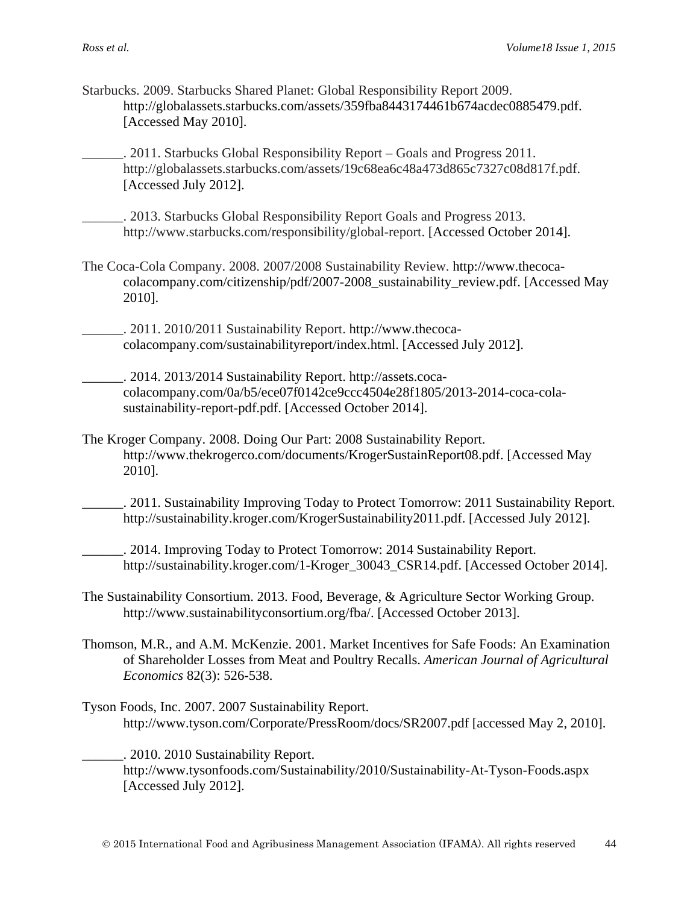- Starbucks. 2009. Starbucks Shared Planet: Global Responsibility Report 2009. http://globalassets.starbucks.com/assets/359fba8443174461b674acdec0885479.pdf. [Accessed May 2010].
	- . 2011. Starbucks Global Responsibility Report Goals and Progress 2011. http://globalassets.starbucks.com/assets/19c68ea6c48a473d865c7327c08d817f.pdf. [Accessed July 2012].
- \_\_\_\_\_\_. 2013. Starbucks Global Responsibility Report Goals and Progress 2013. http://www.starbucks.com/responsibility/global-report. [Accessed October 2014].
- The Coca-Cola Company. 2008. 2007/2008 Sustainability Review. http://www.thecocacolacompany.com/citizenship/pdf/2007-2008\_sustainability\_review.pdf. [Accessed May 2010].
	- \_\_\_\_\_\_. 2011. 2010/2011 Sustainability Report. http://www.thecocacolacompany.com/sustainabilityreport/index.html. [Accessed July 2012].
	- \_\_\_\_\_\_. 2014. 2013/2014 Sustainability Report. http://assets.cocacolacompany.com/0a/b5/ece07f0142ce9ccc4504e28f1805/2013-2014-coca-colasustainability-report-pdf.pdf. [Accessed October 2014].
- The Kroger Company. 2008. Doing Our Part: 2008 Sustainability Report. http://www.thekrogerco.com/documents/KrogerSustainReport08.pdf. [Accessed May 2010].
	- \_\_\_\_\_\_. 2011. Sustainability Improving Today to Protect Tomorrow: 2011 Sustainability Report. http://sustainability.kroger.com/KrogerSustainability2011.pdf. [Accessed July 2012].
	- \_\_\_\_\_\_. 2014. Improving Today to Protect Tomorrow: 2014 Sustainability Report. http://sustainability.kroger.com/1-Kroger\_30043\_CSR14.pdf. [Accessed October 2014].
- The Sustainability Consortium. 2013. Food, Beverage, & Agriculture Sector Working Group. http://www.sustainabilityconsortium.org/fba/. [Accessed October 2013].
- Thomson, M.R., and A.M. McKenzie. 2001. Market Incentives for Safe Foods: An Examination of Shareholder Losses from Meat and Poultry Recalls. *American Journal of Agricultural Economics* 82(3): 526-538.
- Tyson Foods, Inc. 2007. 2007 Sustainability Report. http://www.tyson.com/Corporate/PressRoom/docs/SR2007.pdf [accessed May 2, 2010].

\_\_\_\_\_\_. 2010. 2010 Sustainability Report. http://www.tysonfoods.com/Sustainability/2010/Sustainability-At-Tyson-Foods.aspx [Accessed July 2012].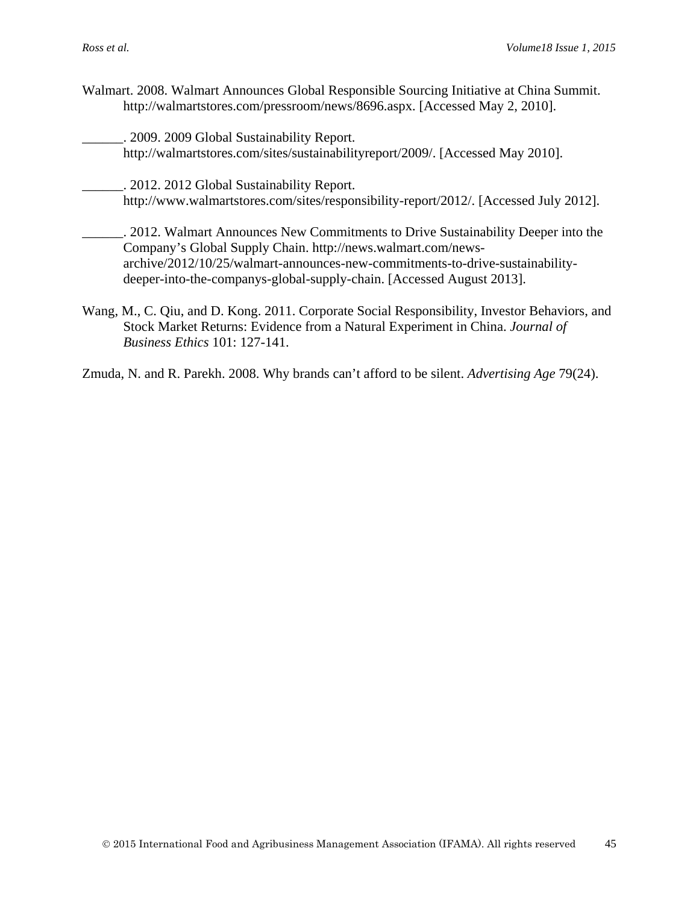- Walmart. 2008. Walmart Announces Global Responsible Sourcing Initiative at China Summit. http://walmartstores.com/pressroom/news/8696.aspx. [Accessed May 2, 2010].
	- \_\_\_\_\_\_. 2009. 2009 Global Sustainability Report. http://walmartstores.com/sites/sustainabilityreport/2009/. [Accessed May 2010].
- \_\_\_\_\_\_. 2012. 2012 Global Sustainability Report. http://www.walmartstores.com/sites/responsibility-report/2012/. [Accessed July 2012].
	- \_\_\_\_\_\_. 2012. Walmart Announces New Commitments to Drive Sustainability Deeper into the Company's Global Supply Chain. http://news.walmart.com/newsarchive/2012/10/25/walmart-announces-new-commitments-to-drive-sustainabilitydeeper-into-the-companys-global-supply-chain. [Accessed August 2013].
- Wang, M., C. Qiu, and D. Kong. 2011. Corporate Social Responsibility, Investor Behaviors, and Stock Market Returns: Evidence from a Natural Experiment in China. *Journal of Business Ethics* 101: 127-141.

Zmuda, N. and R. Parekh. 2008. Why brands can't afford to be silent. *Advertising Age* 79(24).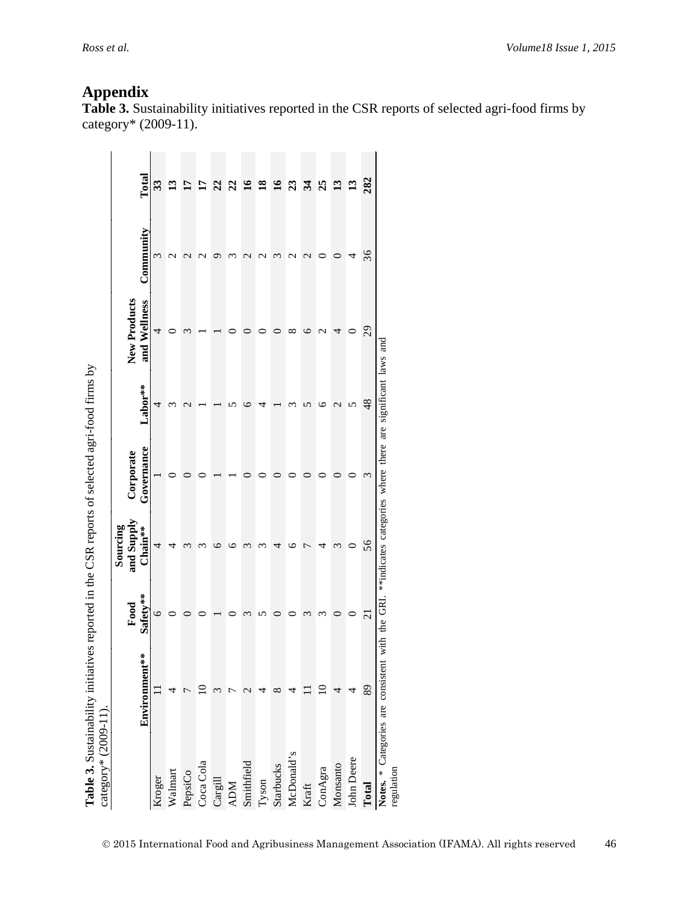|                   |               |                     | Sourcing              |                         |                          |                              |                  |                          |
|-------------------|---------------|---------------------|-----------------------|-------------------------|--------------------------|------------------------------|------------------|--------------------------|
|                   | Environment** | Safety**<br>Food    | and Supply<br>Chain** | Governance<br>Corporate | Labor**                  | New Products<br>and Wellness | Community        | Total                    |
| Kroger            |               | c                   | 4                     |                         | 4                        | 4                            | 3                | 33                       |
| Walmart           |               |                     |                       |                         | 3                        |                              |                  | 13                       |
| PepsiCo           |               |                     |                       |                         | $\mathcal{C}$            |                              |                  | 17                       |
| Coca Cola         |               |                     |                       |                         |                          |                              |                  | 51                       |
| Cargill           |               |                     |                       |                         |                          |                              |                  | 22                       |
| <b>ADM</b>        |               |                     |                       |                         |                          |                              |                  | 22                       |
| Smithfield        |               |                     |                       |                         | c                        |                              |                  | $\overline{\mathbf{16}}$ |
| Tyson             |               |                     |                       |                         | 4                        |                              | $\mathcal{C}$    | $\overline{18}$          |
| Starbucks         | ∞             |                     |                       |                         |                          |                              | 3                | $\overline{\mathbf{16}}$ |
| McDonald's        |               |                     |                       |                         |                          | ∞                            | J                | 23                       |
| Kraft             |               |                     |                       |                         | ທ                        | ⊂                            | $\mathbin{\sim}$ | 34                       |
| ConAgra           |               |                     |                       |                         | ७                        | $\mathbin{\sim}$             |                  | 25                       |
| Monsanto          |               |                     |                       |                         | $\overline{\mathcal{C}}$ |                              |                  | 13                       |
| <b>John Deere</b> | 4             |                     |                       |                         | 5                        | 0                            |                  | 13                       |
| Total             | 89            | $\overline{\Omega}$ | 56                    | 3                       | 48                       | 29                           | 36               | 282                      |

**Appendix Table 3.** Sustainability initiatives reported in the CSR reports of selected agri-food firms by category\* (2009-11).